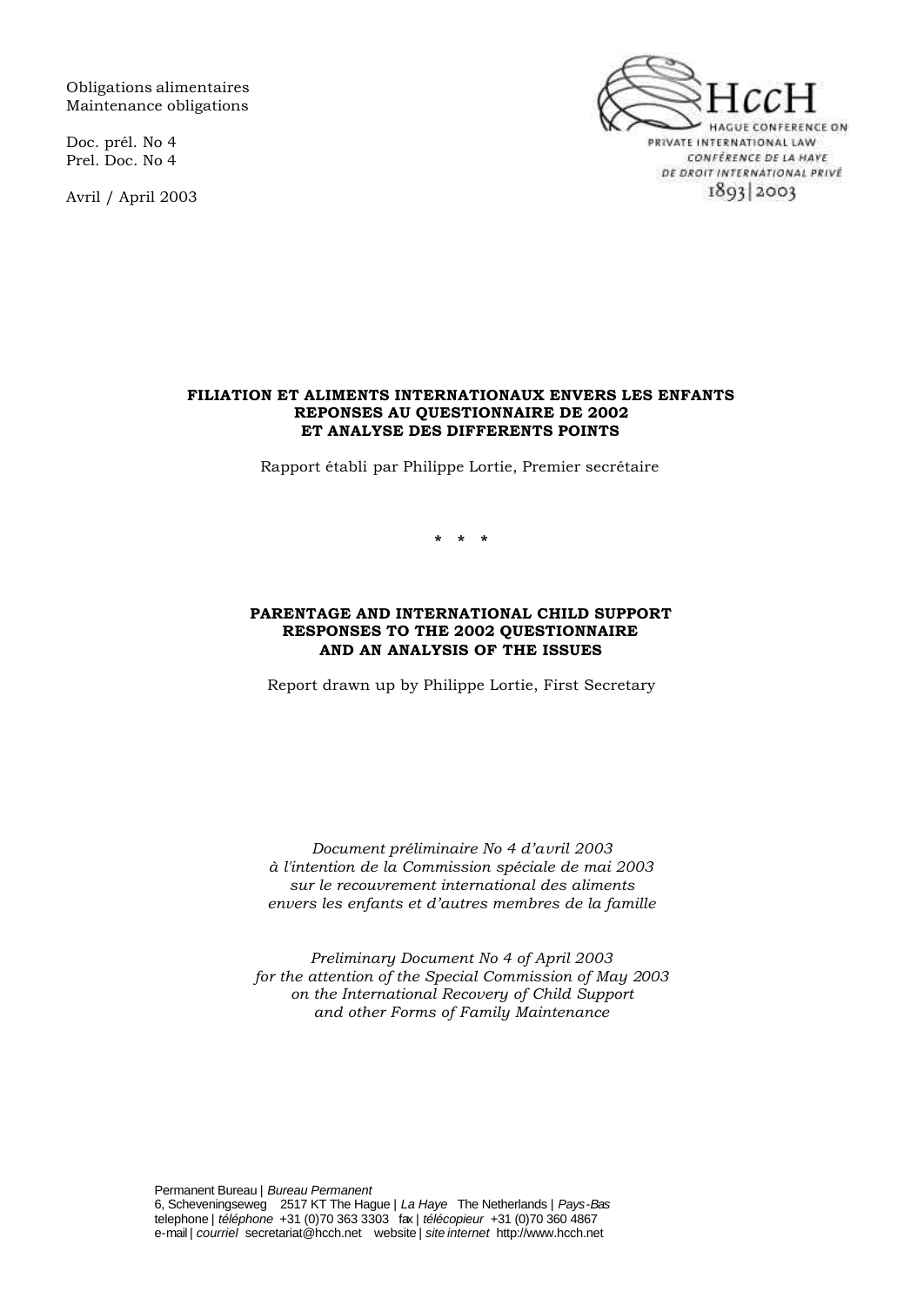Obligations alimentaires Maintenance obligations

Doc. prél. No 4 Prel. Doc. No 4

Avril / April 2003



#### **FILIATION ET ALIMENTS INTERNATIONAUX ENVERS LES ENFANTS REPONSES AU QUESTIONNAIRE DE 2002 ET ANALYSE DES DIFFERENTS POINTS**

Rapport établi par Philippe Lortie, Premier secrétaire

**\* \* \***

#### **PARENTAGE AND INTERNATIONAL CHILD SUPPORT RESPONSES TO THE 2002 QUESTIONNAIRE AND AN ANALYSIS OF THE ISSUES**

Report drawn up by Philippe Lortie, First Secretary

*Document préliminaire No 4 d'avril 2003 à l'intention de la Commission spéciale de mai 2003 sur le recouvrement international des aliments envers les enfants et d'autres membres de la famille*

*Preliminary Document No 4 of April 2003 for the attention of the Special Commission of May 2003 on the International Recovery of Child Support and other Forms of Family Maintenance*

Permanent Bureau | *Bureau Permanent* 6, Scheveningseweg 2517 KT The Hague | *La Haye* The Netherlands | *Pays-Bas* telephone | *téléphone* +31 (0)70 363 3303 fax | *télécopieur* +31 (0)70 360 4867 e-mail | *courriel* secretariat@hcch.net website | *site internet* http://www.hcch.net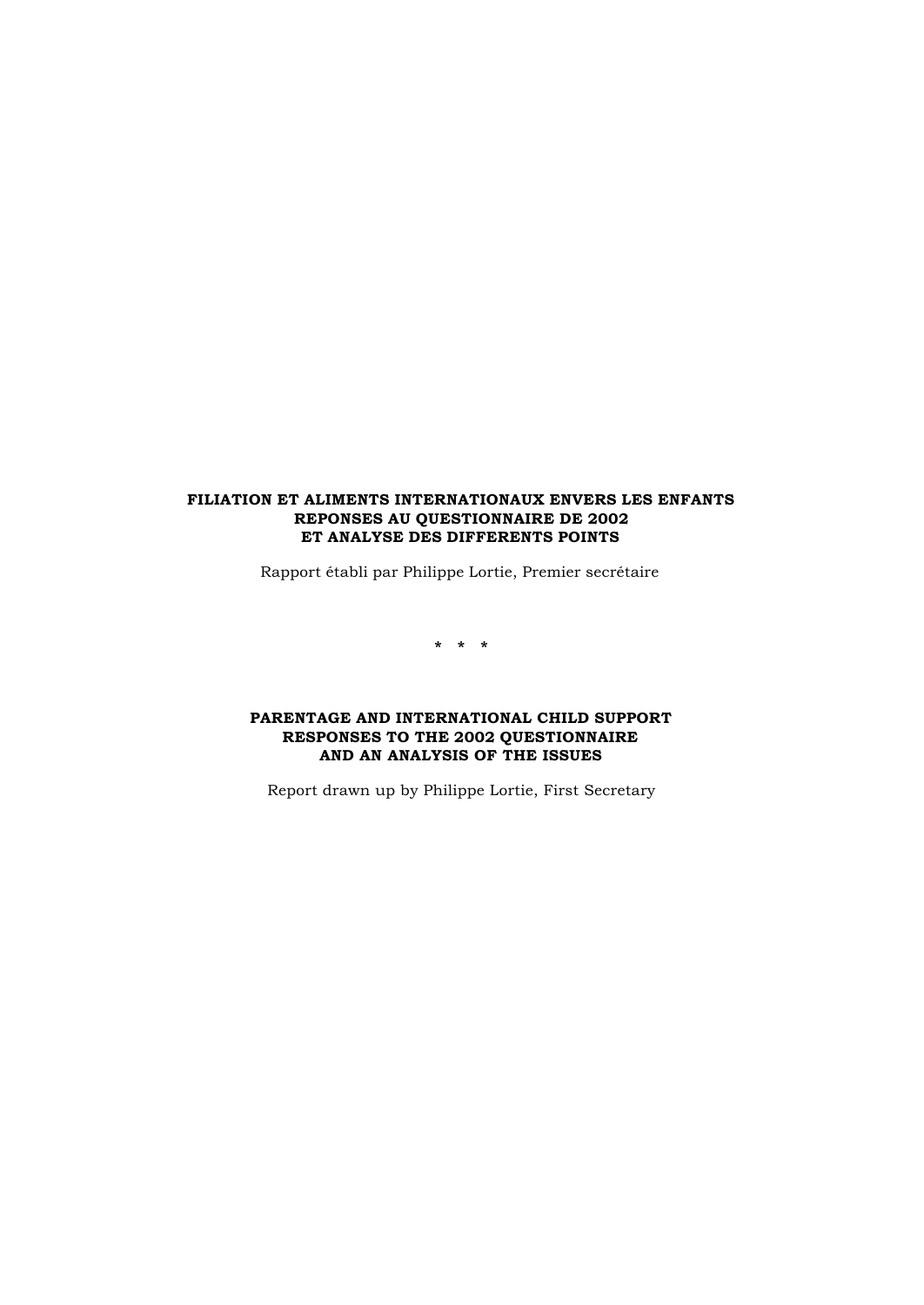#### **FILIATION ET ALIMENTS INTERNATIONAUX ENVERS LES ENFANTS REPONSES AU QUESTIONNAIRE DE 2002 ET ANALYSE DES DIFFERENTS POINTS**

Rapport établi par Philippe Lortie, Premier secrétaire

**\* \* \***

#### **PARENTAGE AND INTERNATIONAL CHILD SUPPORT RESPONSES TO THE 2002 QUESTIONNAIRE AND AN ANALYSIS OF THE ISSUES**

Report drawn up by Philippe Lortie, First Secretary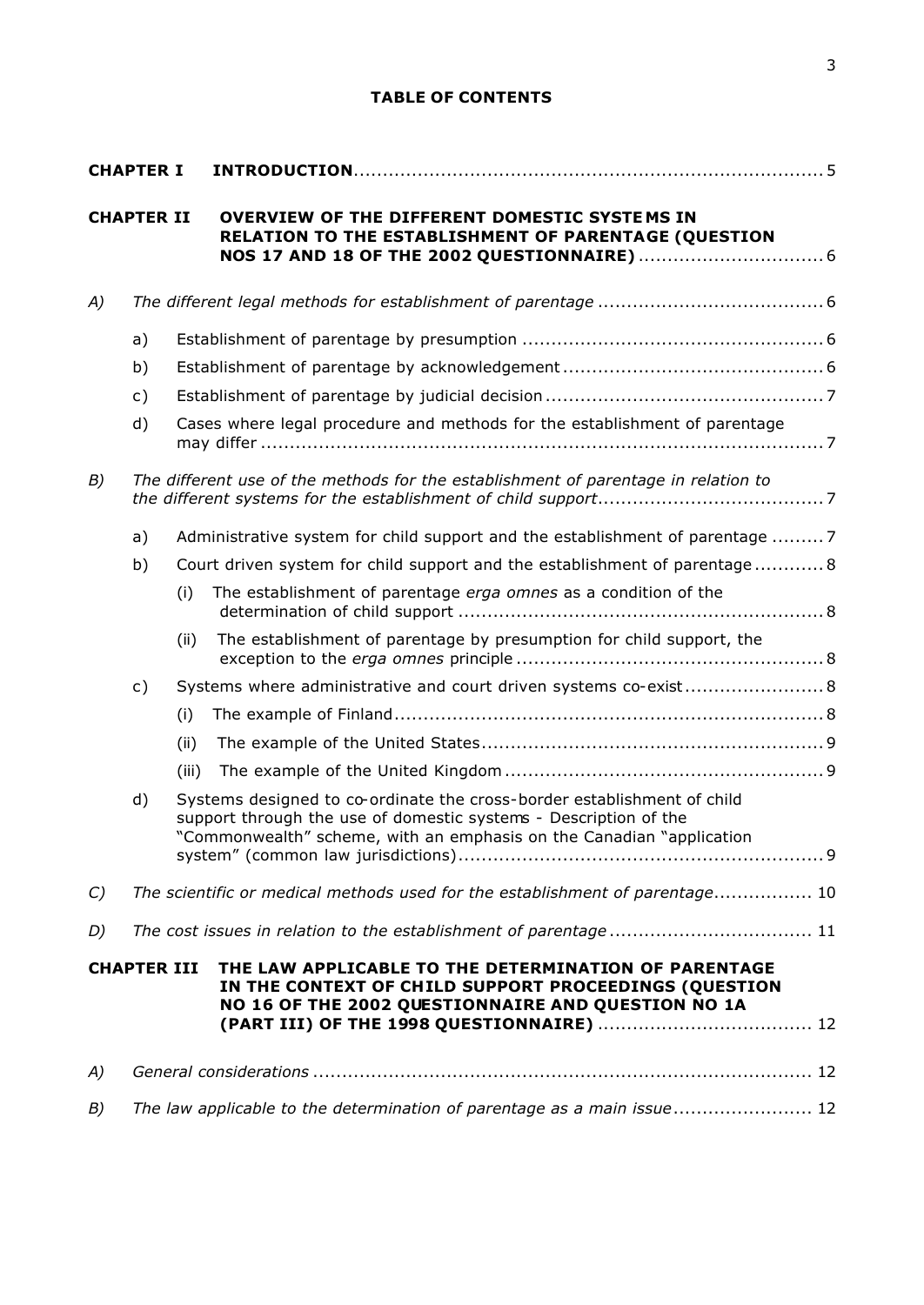# **TABLE OF CONTENTS**

| <b>CHAPTER I</b> |                    |       |                                                                                                                                                                                                                     |  |  |
|------------------|--------------------|-------|---------------------------------------------------------------------------------------------------------------------------------------------------------------------------------------------------------------------|--|--|
|                  | <b>CHAPTER II</b>  |       | OVERVIEW OF THE DIFFERENT DOMESTIC SYSTEMS IN<br>RELATION TO THE ESTABLISHMENT OF PARENTAGE (QUESTION                                                                                                               |  |  |
| A)               |                    |       |                                                                                                                                                                                                                     |  |  |
|                  | a)                 |       |                                                                                                                                                                                                                     |  |  |
|                  | b)                 |       |                                                                                                                                                                                                                     |  |  |
|                  | $\mathsf{c})$      |       |                                                                                                                                                                                                                     |  |  |
|                  | d)                 |       | Cases where legal procedure and methods for the establishment of parentage                                                                                                                                          |  |  |
| B)               |                    |       | The different use of the methods for the establishment of parentage in relation to                                                                                                                                  |  |  |
|                  | a)                 |       | Administrative system for child support and the establishment of parentage 7                                                                                                                                        |  |  |
|                  | b)                 |       | Court driven system for child support and the establishment of parentage 8                                                                                                                                          |  |  |
|                  |                    | (i)   | The establishment of parentage erga omnes as a condition of the                                                                                                                                                     |  |  |
|                  |                    | (ii)  | The establishment of parentage by presumption for child support, the                                                                                                                                                |  |  |
|                  | $\mathsf{c})$      |       | Systems where administrative and court driven systems co-exist 8                                                                                                                                                    |  |  |
|                  |                    | (i)   |                                                                                                                                                                                                                     |  |  |
|                  |                    | (ii)  |                                                                                                                                                                                                                     |  |  |
|                  |                    | (iii) |                                                                                                                                                                                                                     |  |  |
|                  | d)                 |       | Systems designed to co-ordinate the cross-border establishment of child<br>support through the use of domestic systems - Description of the<br>"Commonwealth" scheme, with an emphasis on the Canadian "application |  |  |
| $\mathcal{C}$    |                    |       | The scientific or medical methods used for the establishment of parentage 10                                                                                                                                        |  |  |
| D)               |                    |       |                                                                                                                                                                                                                     |  |  |
|                  | <b>CHAPTER III</b> |       | THE LAW APPLICABLE TO THE DETERMINATION OF PARENTAGE<br>IN THE CONTEXT OF CHILD SUPPORT PROCEEDINGS (QUESTION<br>NO 16 OF THE 2002 QUESTIONNAIRE AND QUESTION NO 1A                                                 |  |  |
| A)               |                    |       |                                                                                                                                                                                                                     |  |  |
| B)               |                    |       | The law applicable to the determination of parentage as a main issue 12                                                                                                                                             |  |  |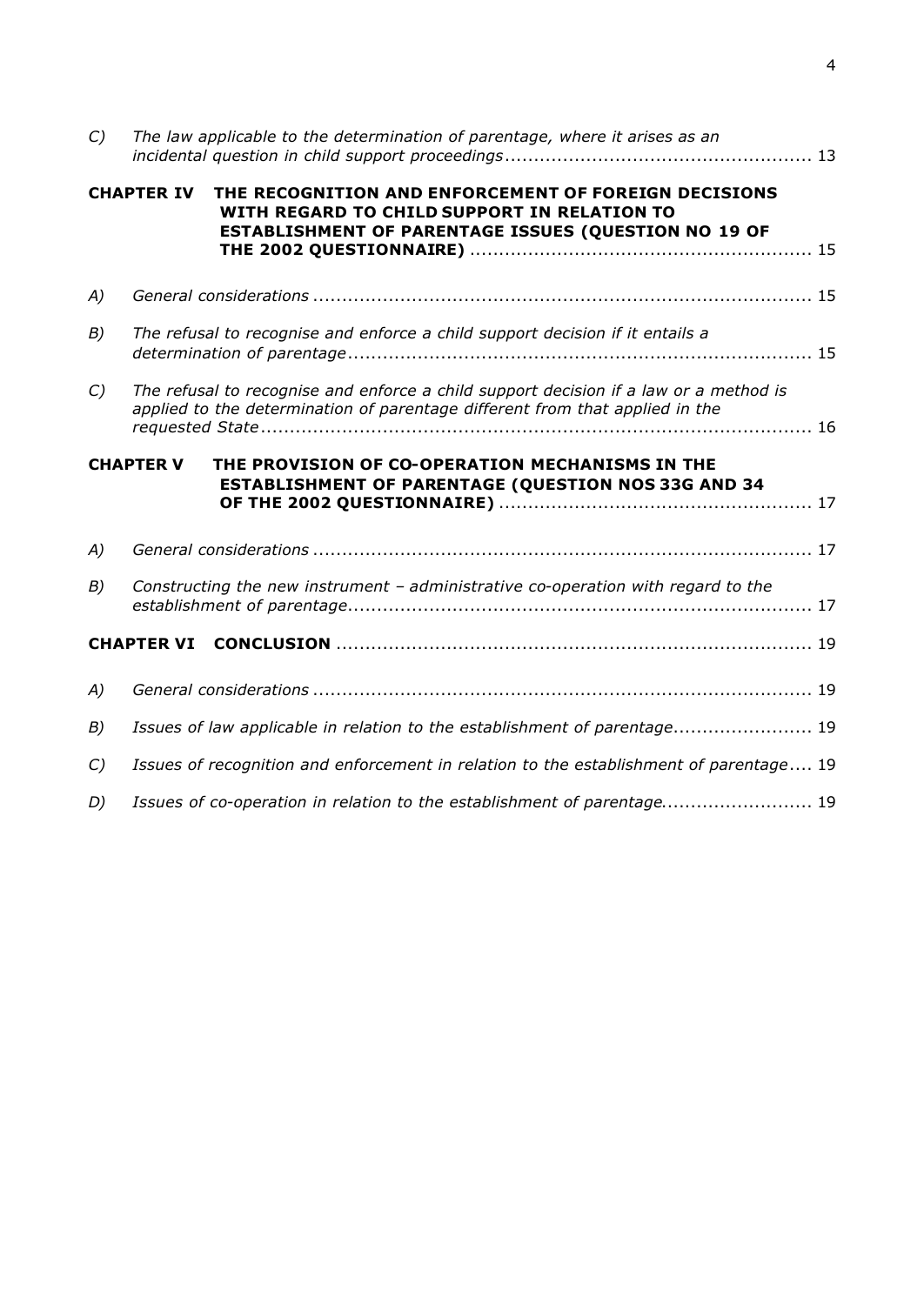| C)                              | The law applicable to the determination of parentage, where it arises as an                                                                                                      |  |  |  |
|---------------------------------|----------------------------------------------------------------------------------------------------------------------------------------------------------------------------------|--|--|--|
|                                 | <b>CHAPTER IV</b><br>THE RECOGNITION AND ENFORCEMENT OF FOREIGN DECISIONS<br>WITH REGARD TO CHILD SUPPORT IN RELATION TO<br>ESTABLISHMENT OF PARENTAGE ISSUES (QUESTION NO 19 OF |  |  |  |
| A)                              |                                                                                                                                                                                  |  |  |  |
| B)                              | The refusal to recognise and enforce a child support decision if it entails a                                                                                                    |  |  |  |
| $\mathcal{C}$                   | The refusal to recognise and enforce a child support decision if a law or a method is<br>applied to the determination of parentage different from that applied in the            |  |  |  |
|                                 |                                                                                                                                                                                  |  |  |  |
|                                 | <b>CHAPTER V</b><br>THE PROVISION OF CO-OPERATION MECHANISMS IN THE<br>ESTABLISHMENT OF PARENTAGE (QUESTION NOS 33G AND 34                                                       |  |  |  |
| A)                              |                                                                                                                                                                                  |  |  |  |
| B)                              | Constructing the new instrument - administrative co-operation with regard to the                                                                                                 |  |  |  |
|                                 |                                                                                                                                                                                  |  |  |  |
|                                 |                                                                                                                                                                                  |  |  |  |
|                                 | Issues of law applicable in relation to the establishment of parentage 19                                                                                                        |  |  |  |
|                                 | Issues of recognition and enforcement in relation to the establishment of parentage 19                                                                                           |  |  |  |
| A)<br>B)<br>$\mathcal{C}$<br>D) | Issues of co-operation in relation to the establishment of parentage 19                                                                                                          |  |  |  |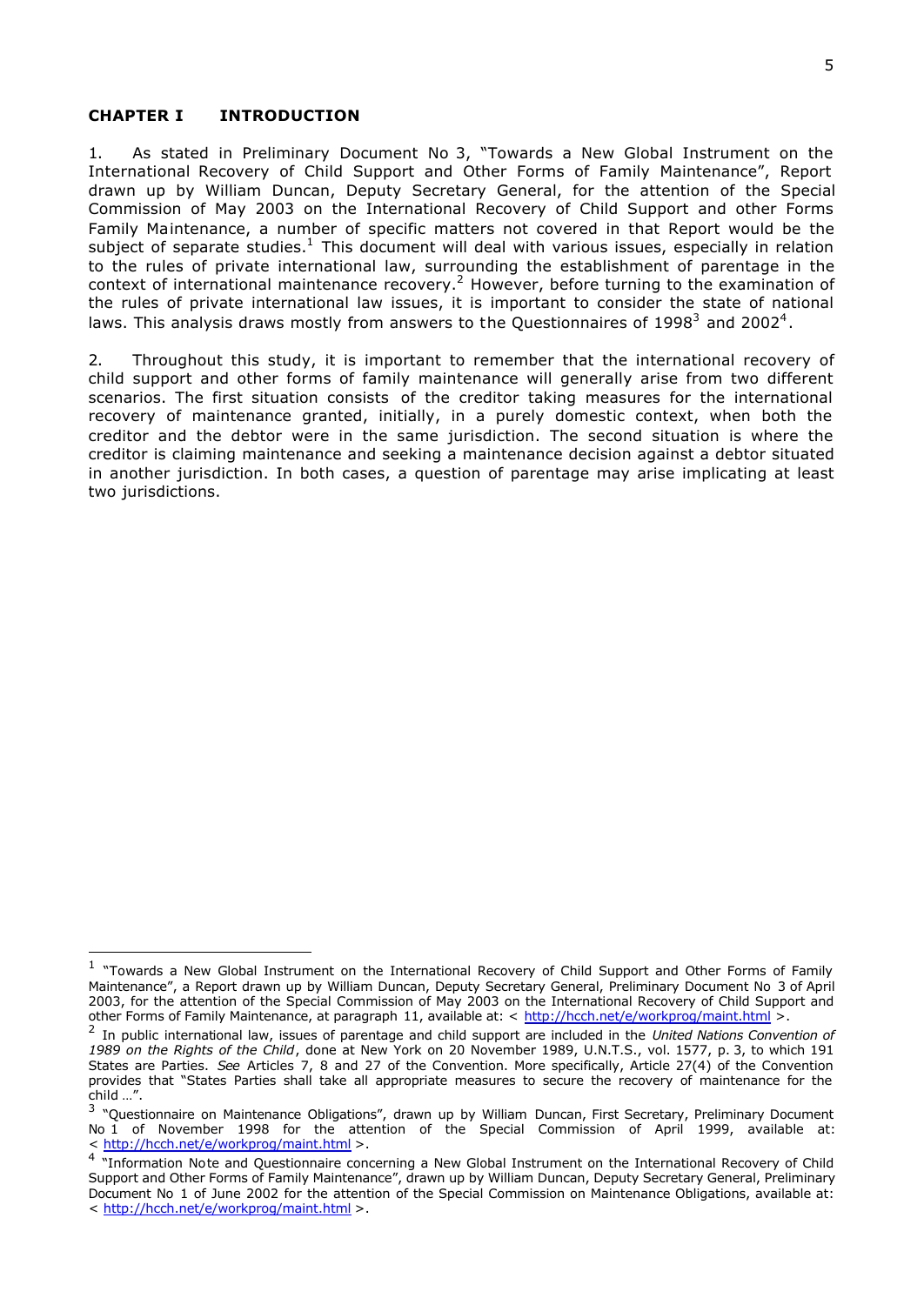#### **CHAPTER I INTRODUCTION**

i,

1. As stated in Preliminary Document No 3, "Towards a New Global Instrument on the International Recovery of Child Support and Other Forms of Family Maintenance", Report drawn up by William Duncan, Deputy Secretary General, for the attention of the Special Commission of May 2003 on the International Recovery of Child Support and other Forms Family Maintenance, a number of specific matters not covered in that Report would be the subject of separate studies.<sup>1</sup> This document will deal with various issues, especially in relation to the rules of private international law, surrounding the establishment of parentage in the context of international maintenance recovery.<sup>2</sup> However, before turning to the examination of the rules of private international law issues, it is important to consider the state of national laws. This analysis draws mostly from answers to the Questionnaires of 1998<sup>3</sup> and 2002<sup>4</sup>.

2. Throughout this study, it is important to remember that the international recovery of child support and other forms of family maintenance will generally arise from two different scenarios. The first situation consists of the creditor taking measures for the international recovery of maintenance granted, initially, in a purely domestic context, when both the creditor and the debtor were in the same jurisdiction. The second situation is where the creditor is claiming maintenance and seeking a maintenance decision against a debtor situated in another jurisdiction. In both cases, a question of parentage may arise implicating at least two jurisdictions.

<sup>&</sup>lt;sup>1</sup> "Towards a New Global Instrument on the International Recovery of Child Support and Other Forms of Family Maintenance", a Report drawn up by William Duncan, Deputy Secretary General, Preliminary Document No 3 of April 2003, for the attention of the Special Commission of May 2003 on the International Recovery of Child Support and other Forms of Family Maintenance, at paragraph 11, available at: < http://hcch.net/e/workprog/maint.html >

<sup>2</sup> In public international law, issues of parentage and child support are included in the *United Nations Convention of 1989 on the Rights of the Child*, done at New York on 20 November 1989, U.N.T.S., vol. 1577, p. 3, to which 191 States are Parties. *See* Articles 7, 8 and 27 of the Convention. More specifically, Article 27(4) of the Convention provides that "States Parties shall take all appropriate measures to secure the recovery of maintenance for the child …".

<sup>&</sup>lt;sup>3</sup> "Questionnaire on Maintenance Obligations", drawn up by William Duncan, First Secretary, Preliminary Document No 1 of November 1998 for the attention of the Special Commission of April 1999, available at: < http://hcch.net/e/workprog/maint.html >.

<sup>&</sup>lt;sup>4</sup> "Information Note and Questionnaire concerning a New Global Instrument on the International Recovery of Child Support and Other Forms of Family Maintenance", drawn up by William Duncan, Deputy Secretary General, Preliminary Document No 1 of June 2002 for the attention of the Special Commission on Maintenance Obligations, available at: < http://hcch.net/e/workprog/maint.html >.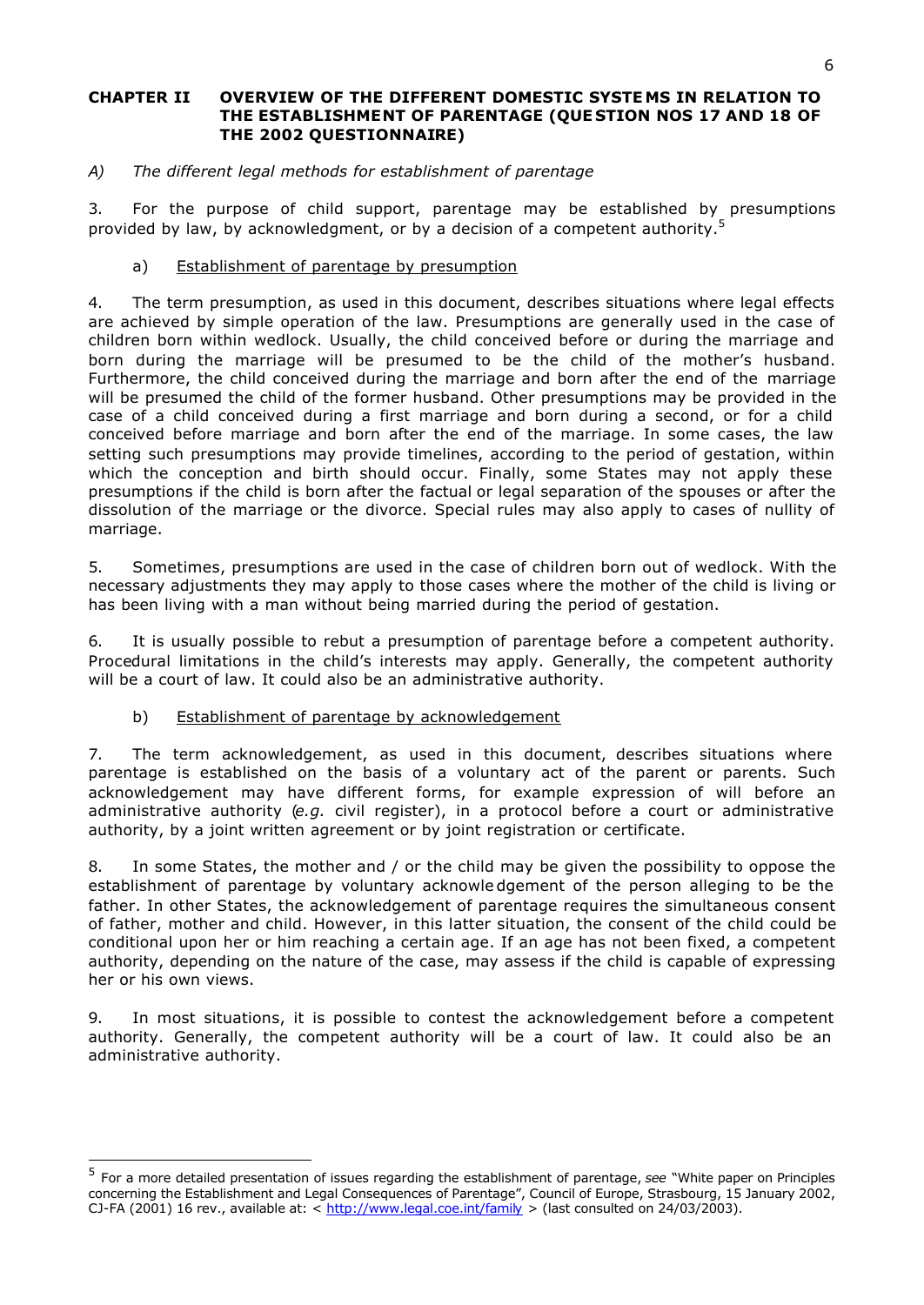## **CHAPTER II OVERVIEW OF THE DIFFERENT DOMESTIC SYSTE MS IN RELATION TO THE ESTABLISHMENT OF PARENTAGE (QUE STION NOS 17 AND 18 OF THE 2002 QUESTIONNAIRE)**

# *A) The different legal methods for establishment of parentage*

3. For the purpose of child support, parentage may be established by presumptions provided by law, by acknowledgment, or by a decision of a competent authority.<sup>5</sup>

# a) Establishment of parentage by presumption

4. The term presumption, as used in this document, describes situations where legal effects are achieved by simple operation of the law. Presumptions are generally used in the case of children born within wedlock. Usually, the child conceived before or during the marriage and born during the marriage will be presumed to be the child of the mother's husband. Furthermore, the child conceived during the marriage and born after the end of the marriage will be presumed the child of the former husband. Other presumptions may be provided in the case of a child conceived during a first marriage and born during a second, or for a child conceived before marriage and born after the end of the marriage. In some cases, the law setting such presumptions may provide timelines, according to the period of gestation, within which the conception and birth should occur. Finally, some States may not apply these presumptions if the child is born after the factual or legal separation of the spouses or after the dissolution of the marriage or the divorce. Special rules may also apply to cases of nullity of marriage.

5. Sometimes, presumptions are used in the case of children born out of wedlock. With the necessary adjustments they may apply to those cases where the mother of the child is living or has been living with a man without being married during the period of gestation.

6. It is usually possible to rebut a presumption of parentage before a competent authority. Procedural limitations in the child's interests may apply. Generally, the competent authority will be a court of law. It could also be an administrative authority.

## b) Establishment of parentage by acknowledgement

i,

7. The term acknowledgement, as used in this document, describes situations where parentage is established on the basis of a voluntary act of the parent or parents. Such acknowledgement may have different forms, for example expression of will before an administrative authority (*e.g.* civil register), in a protocol before a court or administrative authority, by a joint written agreement or by joint registration or certificate.

8. In some States, the mother and / or the child may be given the possibility to oppose the establishment of parentage by voluntary acknowle dgement of the person alleging to be the father. In other States, the acknowledgement of parentage requires the simultaneous consent of father, mother and child. However, in this latter situation, the consent of the child could be conditional upon her or him reaching a certain age. If an age has not been fixed, a competent authority, depending on the nature of the case, may assess if the child is capable of expressing her or his own views.

9. In most situations, it is possible to contest the acknowledgement before a competent authority. Generally, the competent authority will be a court of law. It could also be an administrative authority.

<sup>5</sup> For a more detailed presentation of issues regarding the establishment of parentage, *see* "White paper on Principles concerning the Establishment and Legal Consequences of Parentage", Council of Europe, Strasbourg, 15 January 2002, CJ-FA (2001) 16 rev., available at: < http://www.legal.coe.int/family > (last consulted on 24/03/2003).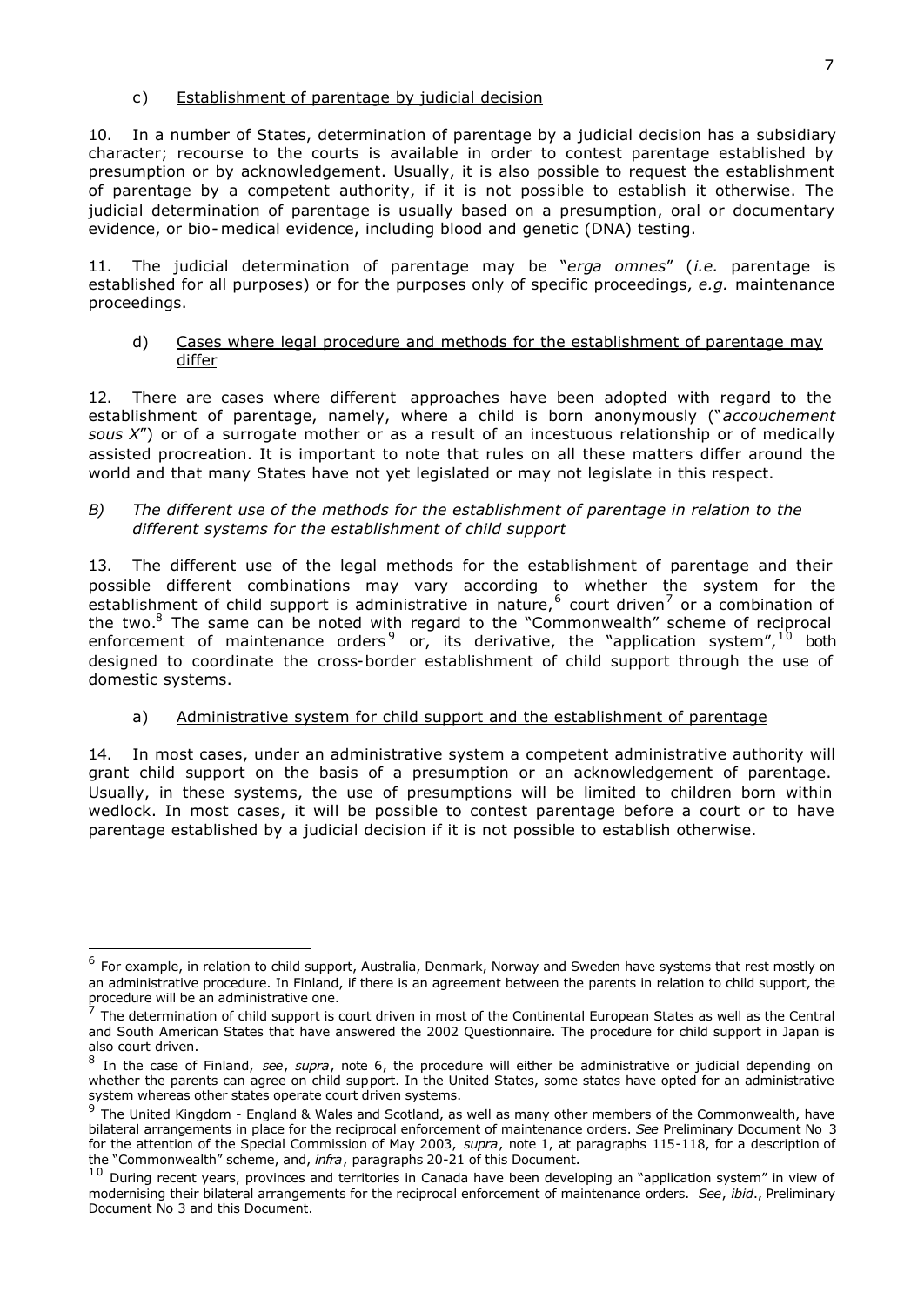## c) Establishment of parentage by judicial decision

10. In a number of States, determination of parentage by a judicial decision has a subsidiary character; recourse to the courts is available in order to contest parentage established by presumption or by acknowledgement. Usually, it is also possible to request the establishment of parentage by a competent authority, if it is not possible to establish it otherwise. The judicial determination of parentage is usually based on a presumption, oral or documentary evidence, or bio-medical evidence, including blood and genetic (DNA) testing.

11. The judicial determination of parentage may be "*erga omnes*" (*i.e.* parentage is established for all purposes) or for the purposes only of specific proceedings, *e.g.* maintenance proceedings.

### d) Cases where legal procedure and methods for the establishment of parentage may differ

12. There are cases where different approaches have been adopted with regard to the establishment of parentage, namely, where a child is born anonymously ("*accouchement sous X*") or of a surrogate mother or as a result of an incestuous relationship or of medically assisted procreation. It is important to note that rules on all these matters differ around the world and that many States have not yet legislated or may not legislate in this respect.

## *B) The different use of the methods for the establishment of parentage in relation to the different systems for the establishment of child support*

13. The different use of the legal methods for the establishment of parentage and their possible different combinations may vary according to whether the system for the establishment of child support is administrative in nature,  $6$  court driven<sup>7</sup> or a combination of the two.<sup>8</sup> The same can be noted with regard to the "Commonwealth" scheme of reciprocal enforcement of maintenance orders<sup>9</sup> or, its derivative, the "application system",  $^{10}$  both designed to coordinate the cross-border establishment of child support through the use of domestic systems.

## a) Administrative system for child support and the establishment of parentage

14. In most cases, under an administrative system a competent administrative authority will grant child support on the basis of a presumption or an acknowledgement of parentage. Usually, in these systems, the use of presumptions will be limited to children born within wedlock. In most cases, it will be possible to contest parentage before a court or to have parentage established by a judicial decision if it is not possible to establish otherwise.

<sup>&</sup>lt;sup>6</sup> For example, in relation to child support, Australia, Denmark, Norway and Sweden have systems that rest mostly on an administrative procedure. In Finland, if there is an agreement between the parents in relation to child support, the

procedure will be an administrative one.<br><sup>7</sup> The determination of child support is court driven in most of the Continental European States as well as the Central and South American States that have answered the 2002 Questionnaire. The procedure for child support in Japan is also court driven.

<sup>8</sup> In the case of Finland, *see*, *supra*, note 6, the procedure will either be administrative or judicial depending on whether the parents can agree on child support. In the United States, some states have opted for an administrative system whereas other states operate court driven systems.

<sup>9</sup> The United Kingdom - England & Wales and Scotland, as well as many other members of the Commonwealth, have bilateral arrangements in place for the reciprocal enforcement of maintenance orders. *See* Preliminary Document No 3 for the attention of the Special Commission of May 2003, *supra*, note 1, at paragraphs 115-118, for a description of the "Commonwealth" scheme, and, *infra*, paragraphs 20-21 of this Document.

 $^{10}$  During recent years, provinces and territories in Canada have been developing an "application system" in view of modernising their bilateral arrangements for the reciprocal enforcement of maintenance orders. *See*, *ibid*., Preliminary Document No 3 and this Document.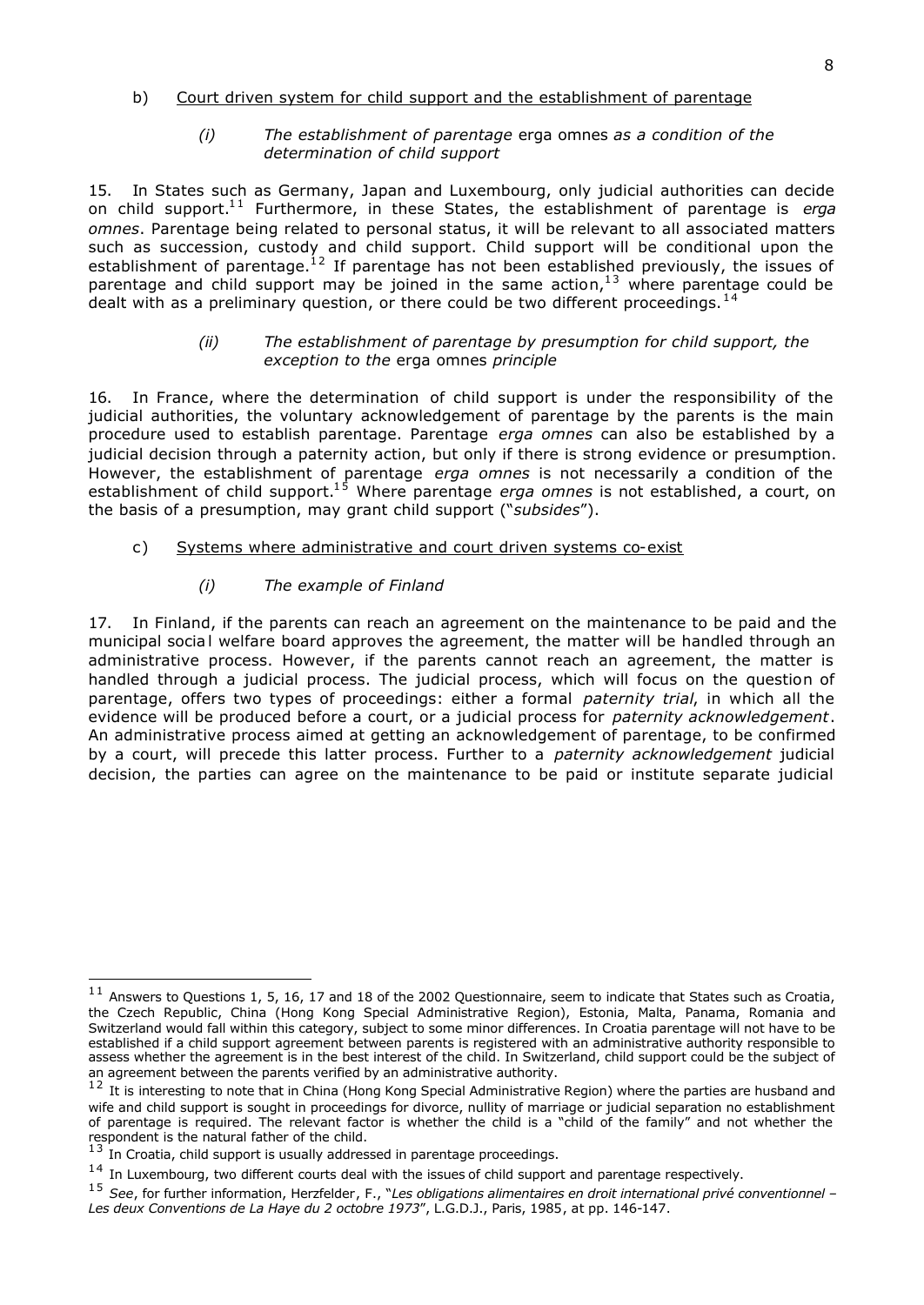# b) Court driven system for child support and the establishment of parentage

## *(i) The establishment of parentage* erga omnes *as a condition of the determination of child support*

15. In States such as Germany, Japan and Luxembourg, only judicial authorities can decide on child support.<sup>11</sup> Furthermore, in these States, the establishment of parentage is *erga omnes*. Parentage being related to personal status, it will be relevant to all associated matters such as succession, custody and child support. Child support will be conditional upon the establishment of parentage.<sup>12</sup> If parentage has not been established previously, the issues of parentage and child support may be joined in the same action,<sup>13</sup> where parentage could be dealt with as a preliminary question, or there could be two different proceedings.  $14$ 

# *(ii) The establishment of parentage by presumption for child support, the exception to the* erga omnes *principle*

16. In France, where the determination of child support is under the responsibility of the judicial authorities, the voluntary acknowledgement of parentage by the parents is the main procedure used to establish parentage. Parentage *erga omnes* can also be established by a judicial decision through a paternity action, but only if there is strong evidence or presumption. However, the establishment of parentage *erga omnes* is not necessarily a condition of the establishment of child support.<sup>15</sup> Where parentage *erga omnes* is not established, a court, on the basis of a presumption, may grant child support ("*subsides*").

# c) Systems where administrative and court driven systems co-exist

# *(i) The example of Finland*

17. In Finland, if the parents can reach an agreement on the maintenance to be paid and the municipal socia l welfare board approves the agreement, the matter will be handled through an administrative process. However, if the parents cannot reach an agreement, the matter is handled through a judicial process. The judicial process, which will focus on the question of parentage, offers two types of proceedings: either a formal *paternity trial*, in which all the evidence will be produced before a court, or a judicial process for *paternity acknowledgement*. An administrative process aimed at getting an acknowledgement of parentage, to be confirmed by a court, will precede this latter process. Further to a *paternity acknowledgement* judicial decision, the parties can agree on the maintenance to be paid or institute separate judicial

 $11$  Answers to Questions 1, 5, 16, 17 and 18 of the 2002 Questionnaire, seem to indicate that States such as Croatia, the Czech Republic, China (Hong Kong Special Administrative Region), Estonia, Malta, Panama, Romania and Switzerland would fall within this category, subject to some minor differences. In Croatia parentage will not have to be established if a child support agreement between parents is registered with an administrative authority responsible to assess whether the agreement is in the best interest of the child. In Switzerland, child support could be the subject of an agreement between the parents verified by an administrative authority.

 $12$  It is interesting to note that in China (Hong Kong Special Administrative Region) where the parties are husband and wife and child support is sought in proceedings for divorce, nullity of marriage or judicial separation no establishment of parentage is required. The relevant factor is whether the child is a "child of the family" and not whether the

respondent is the natural father of the child.<br><sup>13</sup> In Croatia, child support is usually addressed in parentage proceedings.

 $14$  In Luxembourg, two different courts deal with the issues of child support and parentage respectively.

<sup>1 5</sup> *See*, for further information, Herzfelder, F., "*Les obligations alimentaires en droit international privé conventionnel – Les deux Conventions de La Haye du 2 octobre 1973*", L.G.D.J., Paris, 1985, at pp. 146-147.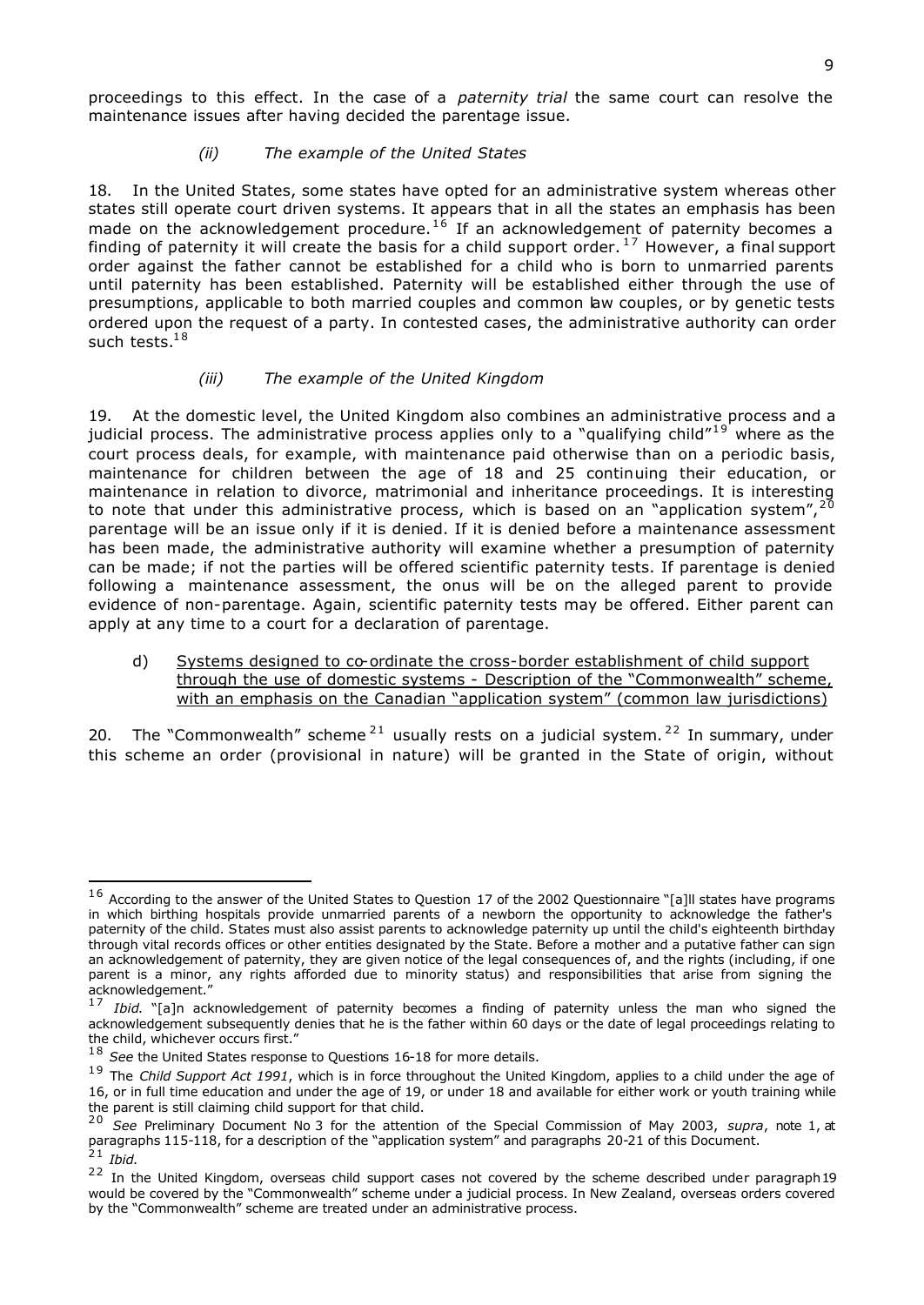proceedings to this effect. In the case of a *paternity trial* the same court can resolve the maintenance issues after having decided the parentage issue.

# *(ii) The example of the United States*

18. In the United States, some states have opted for an administrative system whereas other states still operate court driven systems. It appears that in all the states an emphasis has been made on the acknowledgement procedure.<sup>16</sup> If an acknowledgement of paternity becomes a finding of paternity it will create the basis for a child support order.<sup>17</sup> However, a final support order against the father cannot be established for a child who is born to unmarried parents until paternity has been established. Paternity will be established either through the use of presumptions, applicable to both married couples and common law couples, or by genetic tests ordered upon the request of a party. In contested cases, the administrative authority can order such tests. $18$ 

# *(iii) The example of the United Kingdom*

19. At the domestic level, the United Kingdom also combines an administrative process and a judicial process. The administrative process applies only to a "qualifying child"<sup>19</sup> where as the court process deals, for example, with maintenance paid otherwise than on a periodic basis, maintenance for children between the age of 18 and 25 continuing their education, or maintenance in relation to divorce, matrimonial and inheritance proceedings. It is interesting to note that under this administrative process, which is based on an "application system",  $2^{\overline{0}}$ parentage will be an issue only if it is denied. If it is denied before a maintenance assessment has been made, the administrative authority will examine whether a presumption of paternity can be made; if not the parties will be offered scientific paternity tests. If parentage is denied following a maintenance assessment, the onus will be on the alleged parent to provide evidence of non-parentage. Again, scientific paternity tests may be offered. Either parent can apply at any time to a court for a declaration of parentage.

d) Systems designed to co-ordinate the cross-border establishment of child support through the use of domestic systems - Description of the "Commonwealth" scheme, with an emphasis on the Canadian "application system" (common law jurisdictions)

20. The "Commonwealth" scheme<sup>21</sup> usually rests on a judicial system.<sup>22</sup> In summary, under this scheme an order (provisional in nature) will be granted in the State of origin, without

 $16$  According to the answer of the United States to Question 17 of the 2002 Questionnaire "[a]ll states have programs in which birthing hospitals provide unmarried parents of a newborn the opportunity to acknowledge the father's paternity of the child. States must also assist parents to acknowledge paternity up until the child's eighteenth birthday through vital records offices or other entities designated by the State. Before a mother and a putative father can sign an acknowledgement of paternity, they are given notice of the legal consequences of, and the rights (including, if one parent is a minor, any rights afforded due to minority status) and responsibilities that arise from signing the acknowledgement."

<sup>&</sup>lt;sup>17</sup> *Ibid*. "[a]n acknowledgement of paternity becomes a finding of paternity unless the man who signed the acknowledgement subsequently denies that he is the father within 60 days or the date of legal proceedings relating to the child, whichever occurs first."

<sup>&</sup>lt;sup>18</sup> See the United States response to Questions 16-18 for more details.

<sup>&</sup>lt;sup>19</sup> The *Child Support Act 1991*, which is in force throughout the United Kingdom, applies to a child under the age of 16, or in full time education and under the age of 19, or under 18 and available for either work or youth training while the parent is still claiming child support for that child.

<sup>&</sup>lt;sup>20</sup> See Preliminary Document No 3 for the attention of the Special Commission of May 2003, *supra*, note 1, at paragraphs 115-118, for a description of the "application system" and paragraphs 20-21 of this Document. 2 1 *Ibid.*

<sup>&</sup>lt;sup>22</sup> In the United Kingdom, overseas child support cases not covered by the scheme described under paragraph19 would be covered by the "Commonwealth" scheme under a judicial process. In New Zealand, overseas orders covered by the "Commonwealth" scheme are treated under an administrative process.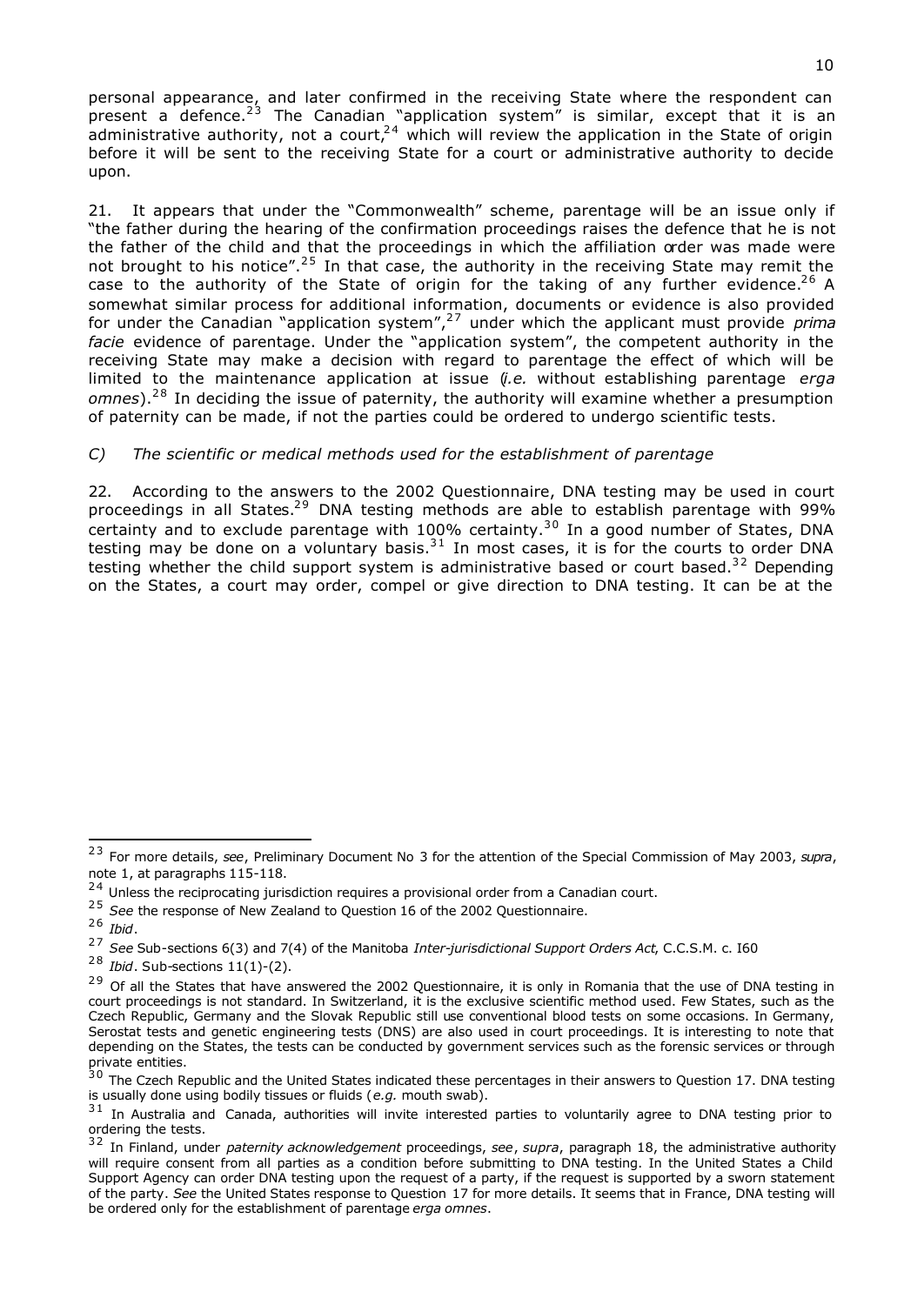personal appearance, and later confirmed in the receiving State where the respondent can present a defence.<sup>23</sup> The Canadian "application system" is similar, except that it is an administrative authority, not a court,  $24$  which will review the application in the State of origin before it will be sent to the receiving State for a court or administrative authority to decide upon.

21. It appears that under the "Commonwealth" scheme, parentage will be an issue only if "the father during the hearing of the confirmation proceedings raises the defence that he is not the father of the child and that the proceedings in which the affiliation order was made were not brought to his notice".<sup>25</sup> In that case, the authority in the receiving State may remit the case to the authority of the State of origin for the taking of any further evidence.<sup>26</sup> A somewhat similar process for additional information, documents or evidence is also provided for under the Canadian "application system",2 7 under which the applicant must provide *prima facie* evidence of parentage. Under the "application system", the competent authority in the receiving State may make a decision with regard to parentage the effect of which will be limited to the maintenance application at issue (*i.e.* without establishing parentage *erga*  omnes).<sup>28</sup> In deciding the issue of paternity, the authority will examine whether a presumption of paternity can be made, if not the parties could be ordered to undergo scientific tests.

# *C) The scientific or medical methods used for the establishment of parentage*

22. According to the answers to the 2002 Questionnaire, DNA testing may be used in court proceedings in all States.<sup>29</sup> DNA testing methods are able to establish parentage with 99% certainty and to exclude parentage with  $100\%$  certainty.<sup>30</sup> In a good number of States, DNA testing may be done on a voluntary basis. $31$  In most cases, it is for the courts to order DNA testing whether the child support system is administrative based or court based.<sup>32</sup> Depending on the States, a court may order, compel or give direction to DNA testing. It can be at the

<sup>2 3</sup> For more details, *see*, Preliminary Document No 3 for the attention of the Special Commission of May 2003, *supra*, note 1, at paragraphs 115-118.

 $24$  Unless the reciprocating jurisdiction requires a provisional order from a Canadian court.

<sup>&</sup>lt;sup>25</sup> See the response of New Zealand to Question 16 of the 2002 Questionnaire.

<sup>2 6</sup> *Ibid*.

<sup>2 7</sup> *See* Sub-sections 6(3) and 7(4) of the Manitoba *Inter-jurisdictional Support Orders Act*, C.C.S.M. c. I60

<sup>2 8</sup> *Ibid*. Sub-sections 11(1)-(2).

<sup>&</sup>lt;sup>29</sup> Of all the States that have answered the 2002 Questionnaire, it is only in Romania that the use of DNA testing in court proceedings is not standard. In Switzerland, it is the exclusive scientific method used. Few States, such as the Czech Republic, Germany and the Slovak Republic still use conventional blood tests on some occasions. In Germany, Serostat tests and genetic engineering tests (DNS) are also used in court proceedings. It is interesting to note that depending on the States, the tests can be conducted by government services such as the forensic services or through private entities.

 $30$  The Czech Republic and the United States indicated these percentages in their answers to Question 17. DNA testing is usually done using bodily tissues or fluids (*e.g.* mouth swab).

<sup>&</sup>lt;sup>31</sup> In Australia and Canada, authorities will invite interested parties to voluntarily agree to DNA testing prior to ordering the tests.

<sup>3 2</sup> In Finland, under *paternity acknowledgement* proceedings, *see*, *supra*, paragraph 18, the administrative authority will require consent from all parties as a condition before submitting to DNA testing. In the United States a Child Support Agency can order DNA testing upon the request of a party, if the request is supported by a sworn statement of the party. *See* the United States response to Question 17 for more details. It seems that in France, DNA testing will be ordered only for the establishment of parentage *erga omnes*.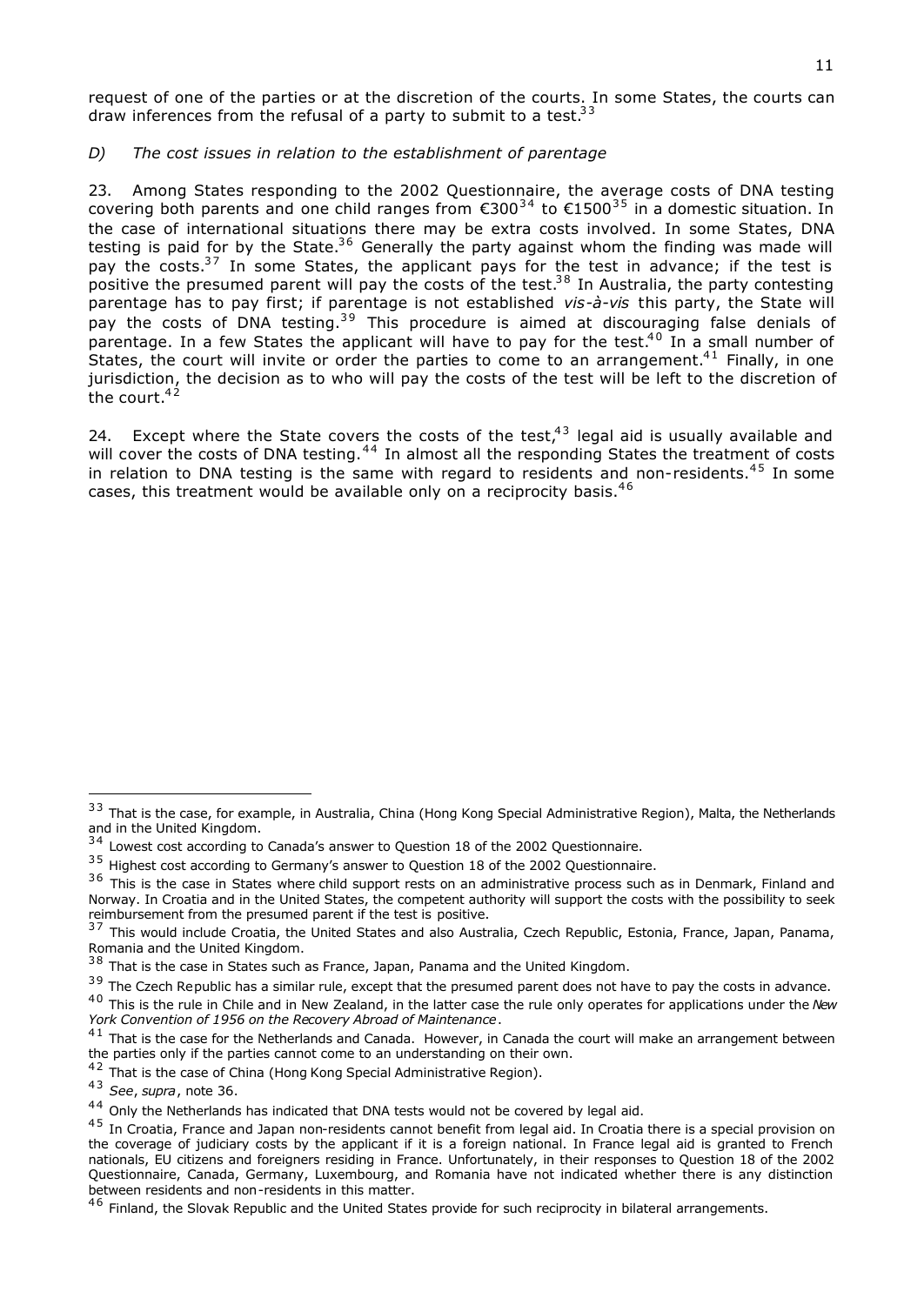request of one of the parties or at the discretion of the courts. In some States, the courts can draw inferences from the refusal of a party to submit to a test.  $33$ 

# *D) The cost issues in relation to the establishment of parentage*

23. Among States responding to the 2002 Questionnaire, the average costs of DNA testing covering both parents and one child ranges from  $\epsilon$ 300<sup>34</sup> to  $\epsilon$ 1500<sup>35</sup> in a domestic situation. In the case of international situations there may be extra costs involved. In some States, DNA testing is paid for by the State.<sup>36</sup> Generally the party against whom the finding was made will pay the costs.<sup>37</sup> In some States, the applicant pays for the test in advance; if the test is positive the presumed parent will pay the costs of the test.<sup>38</sup> In Australia, the party contesting parentage has to pay first; if parentage is not established *vis-à-vis* this party, the State will pay the costs of DNA testing.<sup>39</sup> This procedure is aimed at discouraging false denials of parentage. In a few States the applicant will have to pay for the test.<sup>40</sup> In a small number of States, the court will invite or order the parties to come to an arrangement.<sup>41</sup> Finally, in one jurisdiction, the decision as to who will pay the costs of the test will be left to the discretion of the court. $42$ 

24. Except where the State covers the costs of the test, $43$  legal aid is usually available and will cover the costs of DNA testing.<sup>44</sup> In almost all the responding States the treatment of costs in relation to DNA testing is the same with regard to residents and non-residents.<sup>45</sup> In some cases, this treatment would be available only on a reciprocity basis. $46$ 

<sup>&</sup>lt;sup>33</sup> That is the case, for example, in Australia, China (Hong Kong Special Administrative Region), Malta, the Netherlands and in the United Kingdom.

 $34$  Lowest cost according to Canada's answer to Question 18 of the 2002 Questionnaire.

<sup>&</sup>lt;sup>35</sup> Highest cost according to Germany's answer to Question 18 of the 2002 Questionnaire.

<sup>&</sup>lt;sup>36</sup> This is the case in States where child support rests on an administrative process such as in Denmark, Finland and Norway. In Croatia and in the United States, the competent authority will support the costs with the possibility to seek reimbursement from the presumed parent if the test is positive.

<sup>3 7</sup> This would include Croatia, the United States and also Australia, Czech Republic, Estonia, France, Japan, Panama, Romania and the United Kingdom.

 $38$  That is the case in States such as France, Japan, Panama and the United Kingdom.

<sup>&</sup>lt;sup>39</sup> The Czech Republic has a similar rule, except that the presumed parent does not have to pay the costs in advance.

<sup>&</sup>lt;sup>40</sup> This is the rule in Chile and in New Zealand, in the latter case the rule only operates for applications under the New *York Convention of 1956 on the Recovery Abroad of Maintenance*.

 $41$  That is the case for the Netherlands and Canada. However, in Canada the court will make an arrangement between the parties only if the parties cannot come to an understanding on their own.

<sup>42</sup> That is the case of China (Hong Kong Special Administrative Region).

<sup>4 3</sup> *See*, *supra*, note 36.

 $44$  Only the Netherlands has indicated that DNA tests would not be covered by legal aid.

 $45$  In Croatia, France and Japan non-residents cannot benefit from legal aid. In Croatia there is a special provision on the coverage of judiciary costs by the applicant if it is a foreign national. In France legal aid is granted to French nationals, EU citizens and foreigners residing in France. Unfortunately, in their responses to Question 18 of the 2002 Questionnaire, Canada, Germany, Luxembourg, and Romania have not indicated whether there is any distinction between residents and non-residents in this matter.

<sup>&</sup>lt;sup>46</sup> Finland, the Slovak Republic and the United States provide for such reciprocity in bilateral arrangements.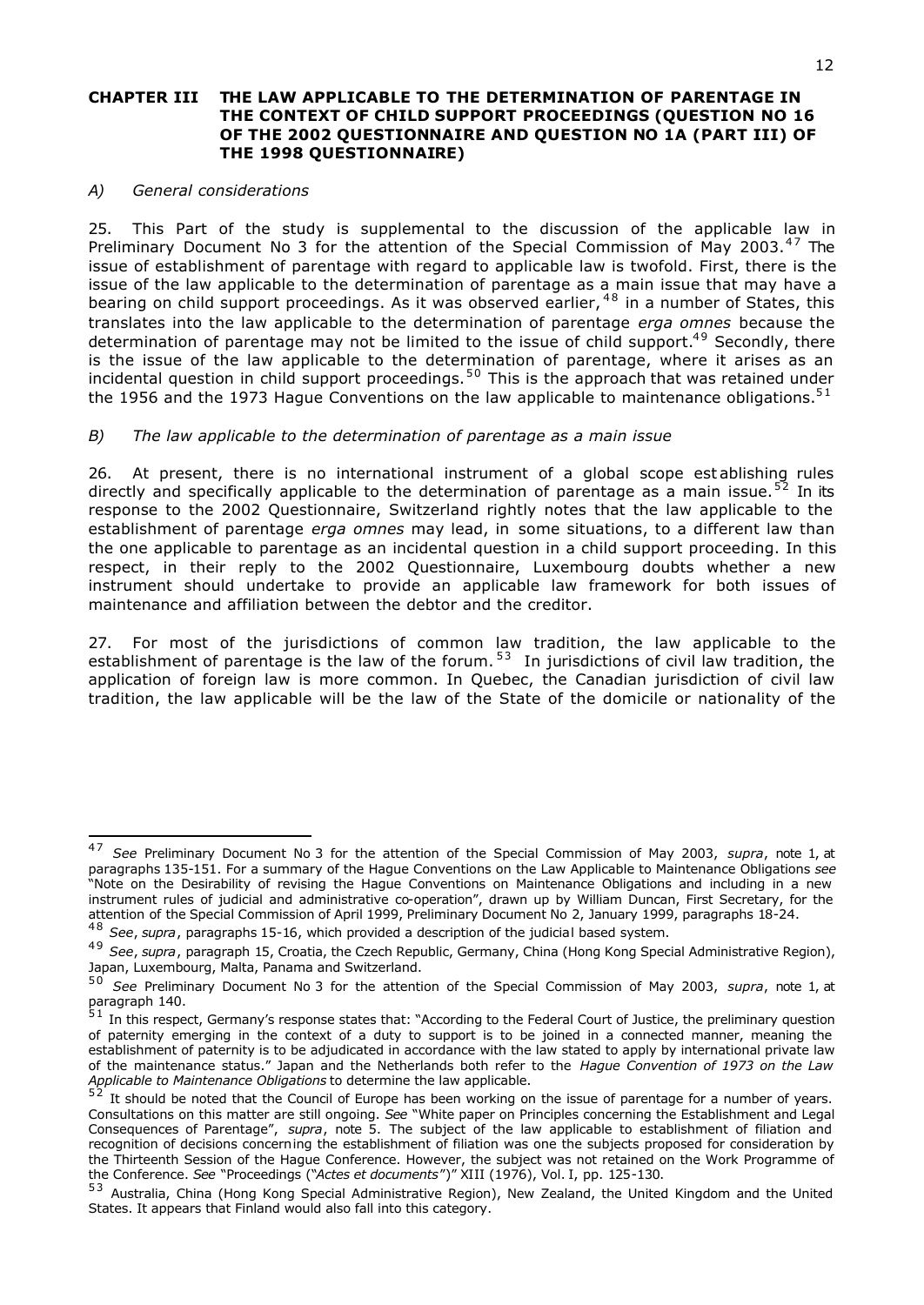#### **CHAPTER III THE LAW APPLICABLE TO THE DETERMINATION OF PARENTAGE IN THE CONTEXT OF CHILD SUPPORT PROCEEDINGS (QUESTION NO 16 OF THE 2002 QUESTIONNAIRE AND QUESTION NO 1A (PART III) OF THE 1998 QUESTIONNAIRE)**

#### *A) General considerations*

i,

25. This Part of the study is supplemental to the discussion of the applicable law in Preliminary Document No 3 for the attention of the Special Commission of May 2003.<sup>47</sup> The issue of establishment of parentage with regard to applicable law is twofold. First, there is the issue of the law applicable to the determination of parentage as a main issue that may have a bearing on child support proceedings. As it was observed earlier, <sup>48</sup> in a number of States, this translates into the law applicable to the determination of parentage *erga omnes* because the determination of parentage may not be limited to the issue of child support.<sup>49</sup> Secondly, there is the issue of the law applicable to the determination of parentage, where it arises as an incidental question in child support proceedings.<sup>50</sup> This is the approach that was retained under the 1956 and the 1973 Hague Conventions on the law applicable to maintenance obligations.<sup>51</sup>

#### *B) The law applicable to the determination of parentage as a main issue*

26. At present, there is no international instrument of a global scope est ablishing rules directly and specifically applicable to the determination of parentage as a main issue.<sup>52</sup> In its response to the 2002 Questionnaire, Switzerland rightly notes that the law applicable to the establishment of parentage *erga omnes* may lead, in some situations, to a different law than the one applicable to parentage as an incidental question in a child support proceeding. In this respect, in their reply to the 2002 Questionnaire, Luxembourg doubts whether a new instrument should undertake to provide an applicable law framework for both issues of maintenance and affiliation between the debtor and the creditor.

27. For most of the jurisdictions of common law tradition, the law applicable to the establishment of parentage is the law of the forum.<sup>53</sup> In jurisdictions of civil law tradition, the application of foreign law is more common. In Quebec, the Canadian jurisdiction of civil law tradition, the law applicable will be the law of the State of the domicile or nationality of the

<sup>&</sup>lt;sup>47</sup> See Preliminary Document No 3 for the attention of the Special Commission of May 2003, *supra*, note 1, at paragraphs 135-151. For a summary of the Hague Conventions on the Law Applicable to Maintenance Obligations *see* "Note on the Desirability of revising the Hague Conventions on Maintenance Obligations and including in a new instrument rules of judicial and administrative co-operation", drawn up by William Duncan, First Secretary, for the attention of the Special Commission of April 1999, Preliminary Document No 2, January 1999, paragraphs 18-24.

<sup>4 8</sup> *See*, *supra*, paragraphs 15-16, which provided a description of the judicial based system.

<sup>4 9</sup> *See*, *supra*, paragraph 15, Croatia, the Czech Republic, Germany, China (Hong Kong Special Administrative Region), Japan, Luxembourg, Malta, Panama and Switzerland.

<sup>5 0</sup> *See* Preliminary Document No 3 for the attention of the Special Commission of May 2003, *supra*, note 1, at paragraph 140.

 $51$  In this respect, Germany's response states that: "According to the Federal Court of Justice, the preliminary question of paternity emerging in the context of a duty to support is to be joined in a connected manner, meaning the establishment of paternity is to be adjudicated in accordance with the law stated to apply by international private law of the maintenance status." Japan and the Netherlands both refer to the *Hague Convention of 1973 on the Law Applicable to Maintenance Obligations* to determine the law applicable.

It should be noted that the Council of Europe has been working on the issue of parentage for a number of years. Consultations on this matter are still ongoing. *See* "White paper on Principles concerning the Establishment and Legal Consequences of Parentage", *supra*, note 5. The subject of the law applicable to establishment of filiation and recognition of decisions concerning the establishment of filiation was one the subjects proposed for consideration by the Thirteenth Session of the Hague Conference. However, the subject was not retained on the Work Programme of the Conference. *See* "Proceedings ("*Actes et documents*")" XIII (1976), Vol. I, pp. 125-130.

<sup>53</sup> Australia, China (Hong Kong Special Administrative Region), New Zealand, the United Kingdom and the United States. It appears that Finland would also fall into this category.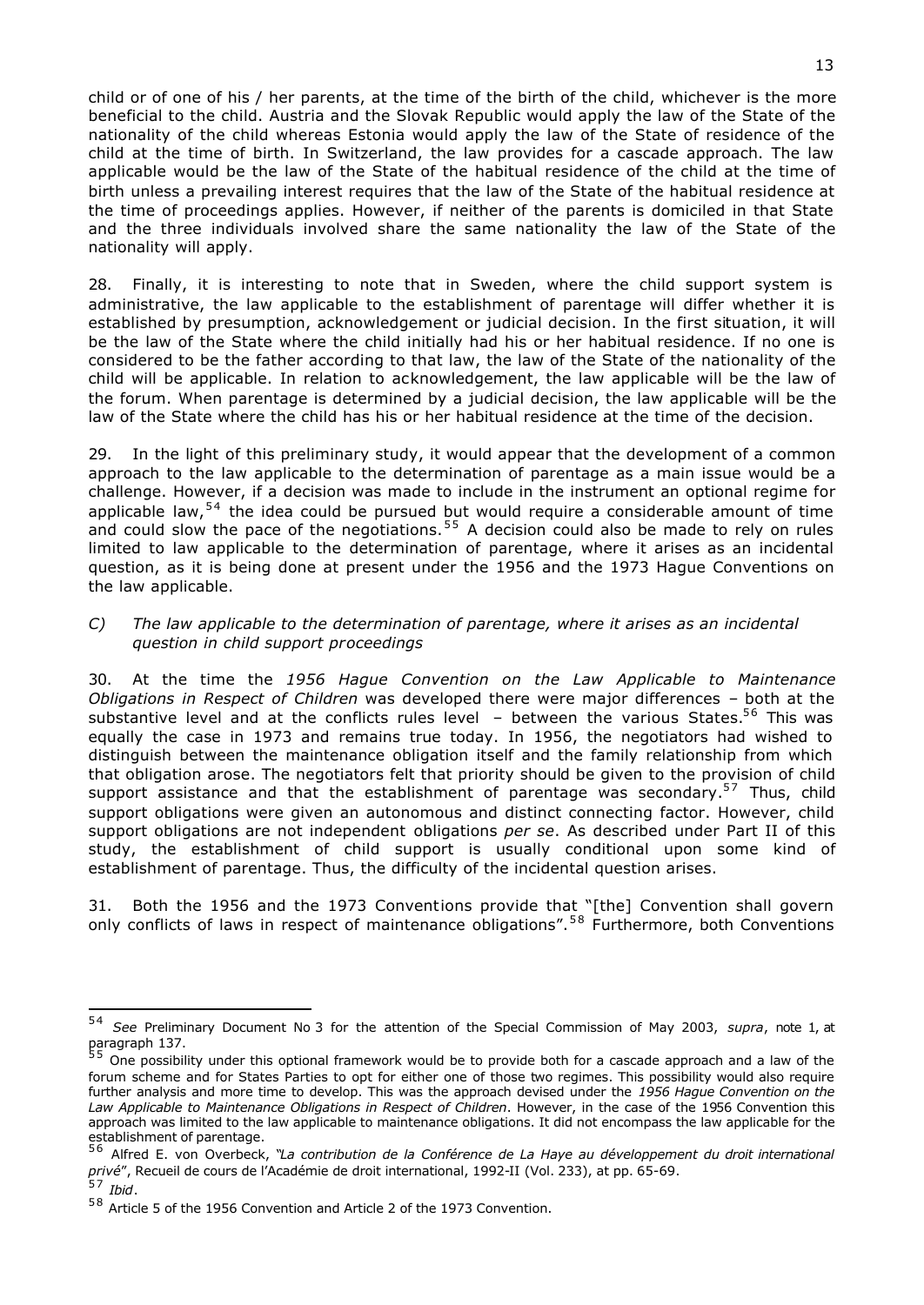child or of one of his / her parents, at the time of the birth of the child, whichever is the more beneficial to the child. Austria and the Slovak Republic would apply the law of the State of the nationality of the child whereas Estonia would apply the law of the State of residence of the child at the time of birth. In Switzerland, the law provides for a cascade approach. The law applicable would be the law of the State of the habitual residence of the child at the time of birth unless a prevailing interest requires that the law of the State of the habitual residence at the time of proceedings applies. However, if neither of the parents is domiciled in that State and the three individuals involved share the same nationality the law of the State of the nationality will apply.

28. Finally, it is interesting to note that in Sweden, where the child support system is administrative, the law applicable to the establishment of parentage will differ whether it is established by presumption, acknowledgement or judicial decision. In the first situation, it will be the law of the State where the child initially had his or her habitual residence. If no one is considered to be the father according to that law, the law of the State of the nationality of the child will be applicable. In relation to acknowledgement, the law applicable will be the law of the forum. When parentage is determined by a judicial decision, the law applicable will be the law of the State where the child has his or her habitual residence at the time of the decision.

29. In the light of this preliminary study, it would appear that the development of a common approach to the law applicable to the determination of parentage as a main issue would be a challenge. However, if a decision was made to include in the instrument an optional regime for applicable law,<sup>54</sup> the idea could be pursued but would require a considerable amount of time and could slow the pace of the negotiations.<sup>55</sup> A decision could also be made to rely on rules limited to law applicable to the determination of parentage, where it arises as an incidental question, as it is being done at present under the 1956 and the 1973 Hague Conventions on the law applicable.

#### *C) The law applicable to the determination of parentage, where it arises as an incidental question in child support proceedings*

30. At the time the *1956 Hague Convention on the Law Applicable to Maintenance Obligations in Respect of Children* was developed there were major differences – both at the substantive level and at the conflicts rules level  $-$  between the various States.<sup>56</sup> This was equally the case in 1973 and remains true today. In 1956, the negotiators had wished to distinguish between the maintenance obligation itself and the family relationship from which that obligation arose. The negotiators felt that priority should be given to the provision of child support assistance and that the establishment of parentage was secondary.<sup>57</sup> Thus, child support obligations were given an autonomous and distinct connecting factor. However, child support obligations are not independent obligations *per se*. As described under Part II of this study, the establishment of child support is usually conditional upon some kind of establishment of parentage. Thus, the difficulty of the incidental question arises.

31. Both the 1956 and the 1973 Conventions provide that "[the] Convention shall govern only conflicts of laws in respect of maintenance obligations".<sup>58</sup> Furthermore, both Conventions

<sup>5 4</sup> *See* Preliminary Document No 3 for the attention of the Special Commission of May 2003, *supra*, note 1, at

paragraph 137.<br><sup>55</sup> One possibility under this optional framework would be to provide both for a cascade approach and a law of the forum scheme and for States Parties to opt for either one of those two regimes. This possibility would also require further analysis and more time to develop. This was the approach devised under the *1956 Hague Convention on the Law Applicable to Maintenance Obligations in Respect of Children*. However, in the case of the 1956 Convention this approach was limited to the law applicable to maintenance obligations. It did not encompass the law applicable for the

establishment of parentage.<br><sup>56</sup> Alfred E. von Overbeck, "L*a contribution de la Conférence de La Haye au développement du droit international privé*", Recueil de cours de l'Académie de droit international, 1992-II (Vol. 233), at pp. 65-69.

<sup>&</sup>lt;sup>57</sup> Ibid.

<sup>&</sup>lt;sup>58</sup> Article 5 of the 1956 Convention and Article 2 of the 1973 Convention.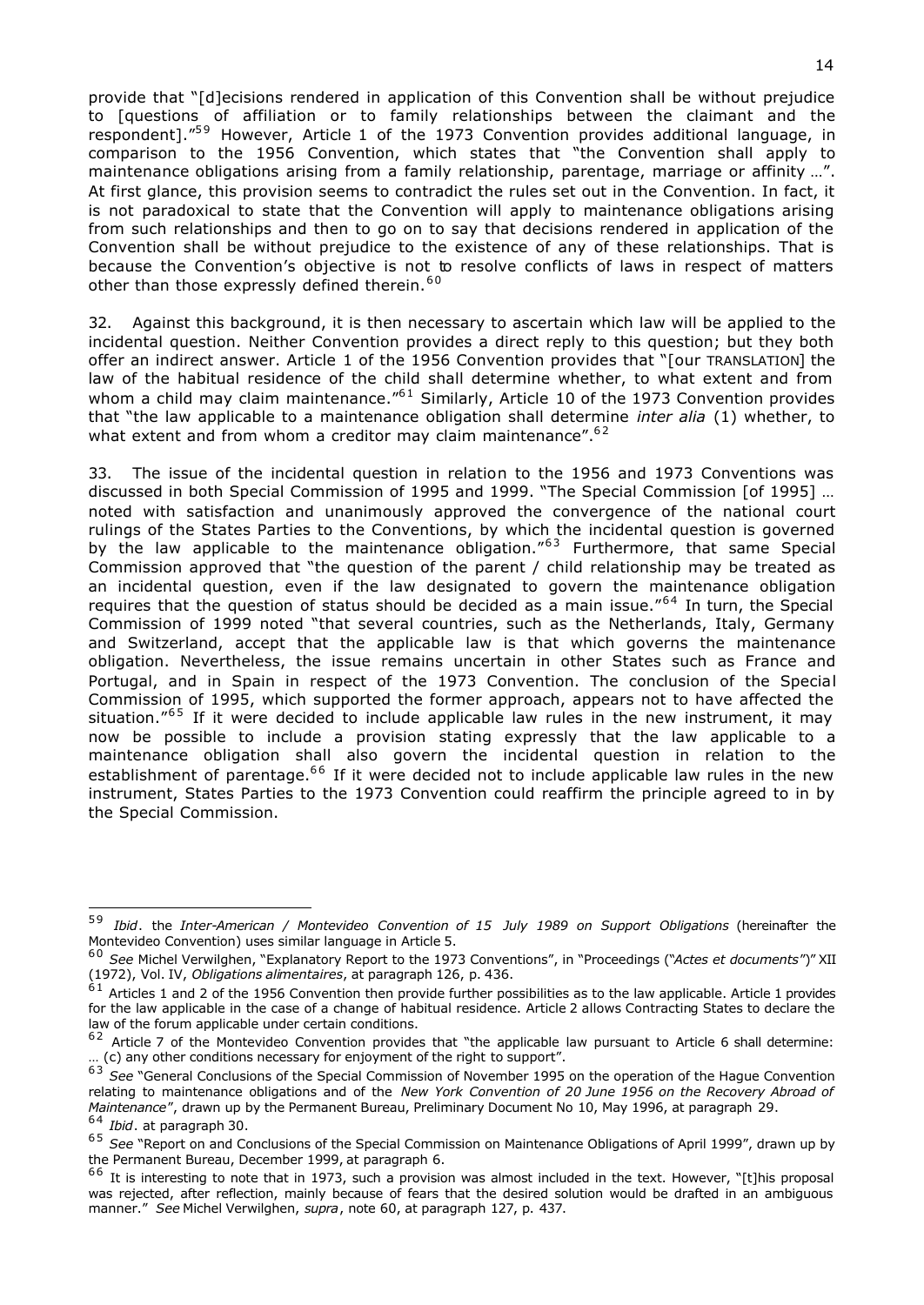provide that "[d]ecisions rendered in application of this Convention shall be without prejudice to [questions of affiliation or to family relationships between the claimant and the respondent]. $159}$  However, Article 1 of the 1973 Convention provides additional language, in comparison to the 1956 Convention, which states that "the Convention shall apply to maintenance obligations arising from a family relationship, parentage, marriage or affinity …". At first glance, this provision seems to contradict the rules set out in the Convention. In fact, it is not paradoxical to state that the Convention will apply to maintenance obligations arising from such relationships and then to go on to say that decisions rendered in application of the Convention shall be without prejudice to the existence of any of these relationships. That is because the Convention's objective is not to resolve conflicts of laws in respect of matters other than those expressly defined therein.<sup>60</sup>

32. Against this background, it is then necessary to ascertain which law will be applied to the incidental question. Neither Convention provides a direct reply to this question; but they both offer an indirect answer. Article 1 of the 1956 Convention provides that "[our TRANSLATION] the law of the habitual residence of the child shall determine whether, to what extent and from whom a child may claim maintenance. $^{61}$  Similarly, Article 10 of the 1973 Convention provides that "the law applicable to a maintenance obligation shall determine *inter alia* (1) whether, to what extent and from whom a creditor may claim maintenance".<sup>62</sup>

33. The issue of the incidental question in relation to the 1956 and 1973 Conventions was discussed in both Special Commission of 1995 and 1999. "The Special Commission [of 1995] … noted with satisfaction and unanimously approved the convergence of the national court rulings of the States Parties to the Conventions, by which the incidental question is governed by the law applicable to the maintenance obligation.<sup>"63</sup> Furthermore, that same Special Commission approved that "the question of the parent / child relationship may be treated as an incidental question, even if the law designated to govern the maintenance obligation requires that the question of status should be decided as a main issue."<sup>64</sup> In turn, the Special Commission of 1999 noted "that several countries, such as the Netherlands, Italy, Germany and Switzerland, accept that the applicable law is that which governs the maintenance obligation. Nevertheless, the issue remains uncertain in other States such as France and Portugal, and in Spain in respect of the 1973 Convention. The conclusion of the Special Commission of 1995, which supported the former approach, appears not to have affected the situation." $65$  If it were decided to include applicable law rules in the new instrument, it may now be possible to include a provision stating expressly that the law applicable to a maintenance obligation shall also govern the incidental question in relation to the establishment of parentage.<sup>66</sup> If it were decided not to include applicable law rules in the new instrument, States Parties to the 1973 Convention could reaffirm the principle agreed to in by the Special Commission.

<sup>5 9</sup> *Ibid*. the *Inter-American / Montevideo Convention of 15 July 1989 on Support Obligations* (hereinafter the Montevideo Convention) uses similar language in Article 5.

<sup>6 0</sup> *See* Michel Verwilghen, "Explanatory Report to the 1973 Conventions", in "Proceedings ("*Actes et documents*")" XII (1972), Vol. IV, *Obligations alimentaires*, at paragraph 126, p. 436.

 $^{61}$  Articles 1 and 2 of the 1956 Convention then provide further possibilities as to the law applicable. Article 1 provides for the law applicable in the case of a change of habitual residence. Article 2 allows Contracting States to declare the law of the forum applicable under certain conditions.

 $62$  Article 7 of the Montevideo Convention provides that "the applicable law pursuant to Article 6 shall determine: … (c) any other conditions necessary for enjoyment of the right to support".

<sup>6 3</sup> *See* "General Conclusions of the Special Commission of November 1995 on the operation of the Hague Convention relating to maintenance obligations and of the *New York Convention of 20 June 1956 on the Recovery Abroad of Maintenance*", drawn up by the Permanent Bureau, Preliminary Document No 10, May 1996, at paragraph 29. 6 4 *Ibid*. at paragraph 30.

<sup>6 5</sup> *See* "Report on and Conclusions of the Special Commission on Maintenance Obligations of April 1999", drawn up by the Permanent Bureau, December 1999, at paragraph 6.

 $66$  It is interesting to note that in 1973, such a provision was almost included in the text. However, "[t]his proposal was rejected, after reflection, mainly because of fears that the desired solution would be drafted in an ambiguous manner." *See* Michel Verwilghen, *supra*, note 60, at paragraph 127, p. 437.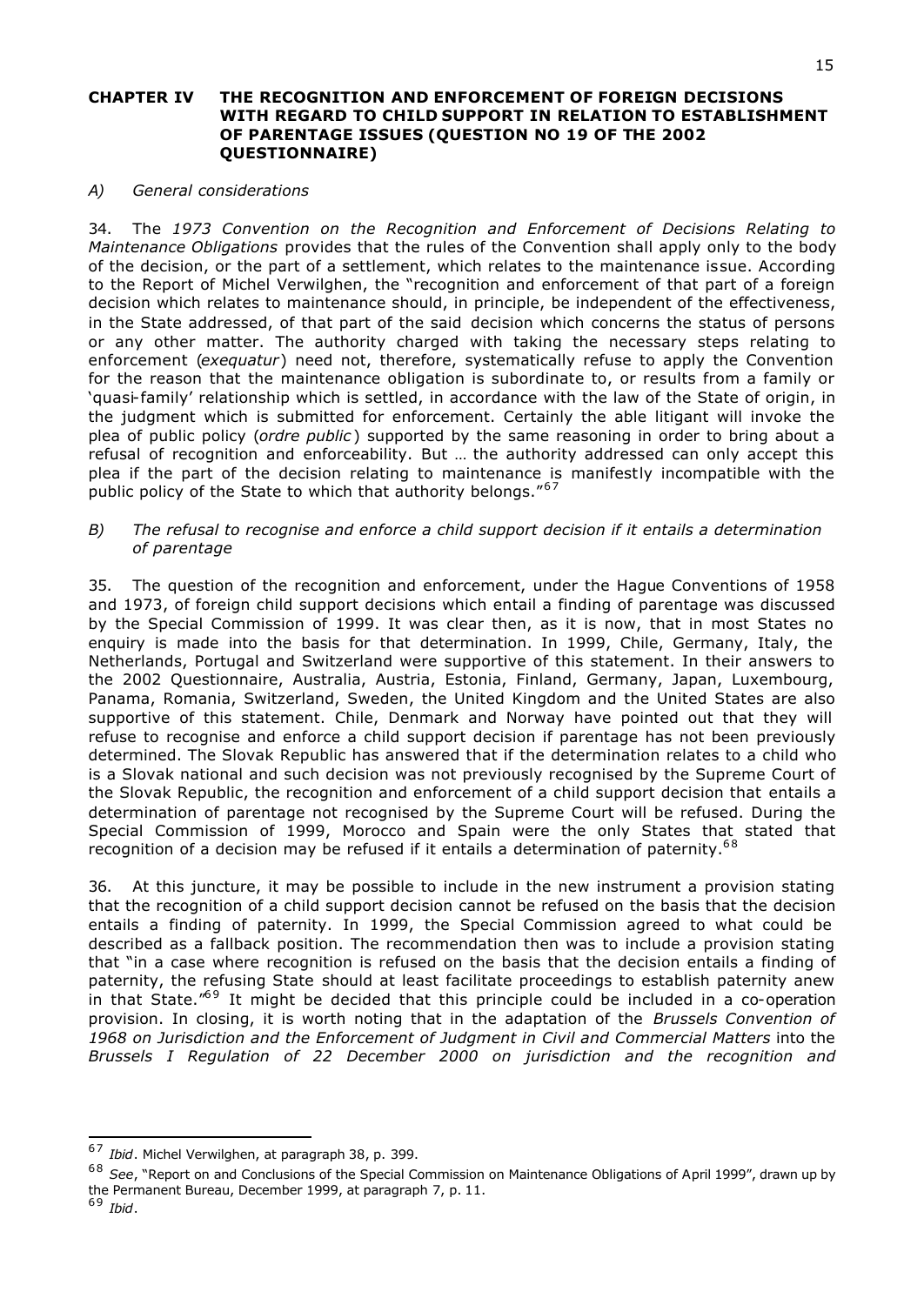### **CHAPTER IV THE RECOGNITION AND ENFORCEMENT OF FOREIGN DECISIONS WITH REGARD TO CHILD SUPPORT IN RELATION TO ESTABLISHMENT OF PARENTAGE ISSUES (QUESTION NO 19 OF THE 2002 QUESTIONNAIRE)**

### *A) General considerations*

34. The *1973 Convention on the Recognition and Enforcement of Decisions Relating to Maintenance Obligations* provides that the rules of the Convention shall apply only to the body of the decision, or the part of a settlement, which relates to the maintenance issue. According to the Report of Michel Verwilghen, the "recognition and enforcement of that part of a foreign decision which relates to maintenance should, in principle, be independent of the effectiveness, in the State addressed, of that part of the said decision which concerns the status of persons or any other matter. The authority charged with taking the necessary steps relating to enforcement (*exequatur*) need not, therefore, systematically refuse to apply the Convention for the reason that the maintenance obligation is subordinate to, or results from a family or 'quasi-family' relationship which is settled, in accordance with the law of the State of origin, in the judgment which is submitted for enforcement. Certainly the able litigant will invoke the plea of public policy (*ordre public* ) supported by the same reasoning in order to bring about a refusal of recognition and enforceability. But … the authority addressed can only accept this plea if the part of the decision relating to maintenance is manifestly incompatible with the public policy of the State to which that authority belongs."<sup>67</sup>

### *B) The refusal to recognise and enforce a child support decision if it entails a determination of parentage*

35. The question of the recognition and enforcement, under the Hague Conventions of 1958 and 1973, of foreign child support decisions which entail a finding of parentage was discussed by the Special Commission of 1999. It was clear then, as it is now, that in most States no enquiry is made into the basis for that determination. In 1999, Chile, Germany, Italy, the Netherlands, Portugal and Switzerland were supportive of this statement. In their answers to the 2002 Questionnaire, Australia, Austria, Estonia, Finland, Germany, Japan, Luxembourg, Panama, Romania, Switzerland, Sweden, the United Kingdom and the United States are also supportive of this statement. Chile, Denmark and Norway have pointed out that they will refuse to recognise and enforce a child support decision if parentage has not been previously determined. The Slovak Republic has answered that if the determination relates to a child who is a Slovak national and such decision was not previously recognised by the Supreme Court of the Slovak Republic, the recognition and enforcement of a child support decision that entails a determination of parentage not recognised by the Supreme Court will be refused. During the Special Commission of 1999, Morocco and Spain were the only States that stated that recognition of a decision may be refused if it entails a determination of paternity.<sup>68</sup>

36. At this juncture, it may be possible to include in the new instrument a provision stating that the recognition of a child support decision cannot be refused on the basis that the decision entails a finding of paternity. In 1999, the Special Commission agreed to what could be described as a fallback position. The recommendation then was to include a provision stating that "in a case where recognition is refused on the basis that the decision entails a finding of paternity, the refusing State should at least facilitate proceedings to establish paternity anew in that State. $169$  It might be decided that this principle could be included in a co-operation provision. In closing, it is worth noting that in the adaptation of the *Brussels Convention of 1968 on Jurisdiction and the Enforcement of Judgment in Civil and Commercial Matters* into the *Brussels I Regulation of 22 December 2000 on jurisdiction and the recognition and*

6 9 *Ibid*.

<sup>6 7</sup> *Ibid*. Michel Verwilghen, at paragraph 38, p. 399.

<sup>6 8</sup> *See*, "Report on and Conclusions of the Special Commission on Maintenance Obligations of April 1999", drawn up by the Permanent Bureau, December 1999, at paragraph 7, p. 11.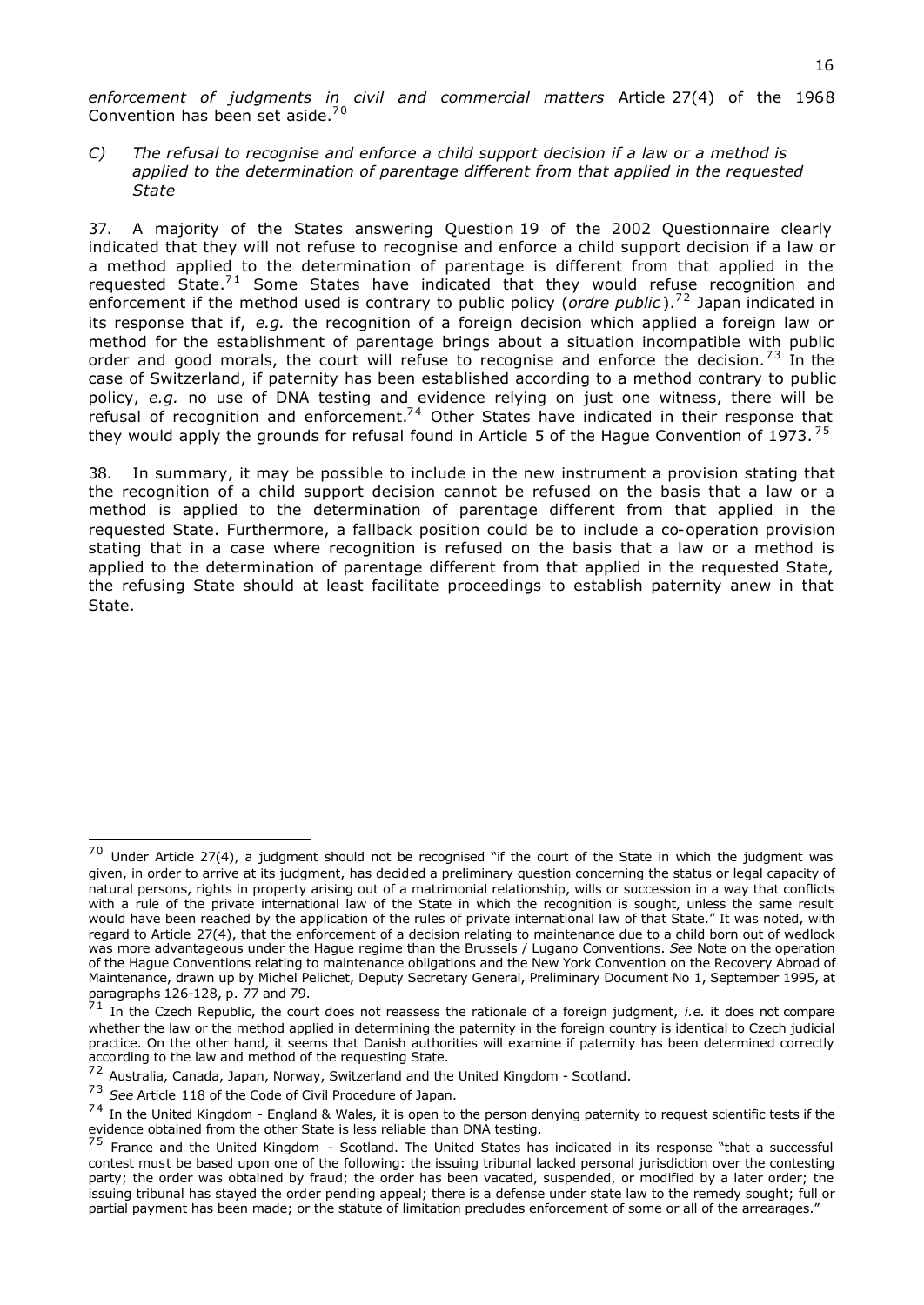*enforcement of judgments in civil and commercial matters* Article 27(4) of the 1968 Convention has been set aside.<sup>70</sup>

*C) The refusal to recognise and enforce a child support decision if a law or a method is applied to the determination of parentage different from that applied in the requested State*

37. A majority of the States answering Question 19 of the 2002 Questionnaire clearly indicated that they will not refuse to recognise and enforce a child support decision if a law or a method applied to the determination of parentage is different from that applied in the requested State. $71$  Some States have indicated that they would refuse recognition and enforcement if the method used is contrary to public policy (*ordre public*).<sup>72</sup> Japan indicated in its response that if, *e.g.* the recognition of a foreign decision which applied a foreign law or method for the establishment of parentage brings about a situation incompatible with public order and good morals, the court will refuse to recognise and enforce the decision.<sup>73</sup> In the case of Switzerland, if paternity has been established according to a method contrary to public policy, *e.g.* no use of DNA testing and evidence relying on just one witness, there will be refusal of recognition and enforcement.<sup>74</sup> Other States have indicated in their response that they would apply the grounds for refusal found in Article 5 of the Hague Convention of 1973.<sup>75</sup>

38. In summary, it may be possible to include in the new instrument a provision stating that the recognition of a child support decision cannot be refused on the basis that a law or a method is applied to the determination of parentage different from that applied in the requested State. Furthermore, a fallback position could be to include a co-operation provision stating that in a case where recognition is refused on the basis that a law or a method is applied to the determination of parentage different from that applied in the requested State, the refusing State should at least facilitate proceedings to establish paternity anew in that State.

 $70$  Under Article 27(4), a judgment should not be recognised "if the court of the State in which the judgment was given, in order to arrive at its judgment, has decided a preliminary question concerning the status or legal capacity of natural persons, rights in property arising out of a matrimonial relationship, wills or succession in a way that conflicts with a rule of the private international law of the State in which the recognition is sought, unless the same result would have been reached by the application of the rules of private international law of that State." It was noted, with regard to Article 27(4), that the enforcement of a decision relating to maintenance due to a child born out of wedlock was more advantageous under the Hague regime than the Brussels / Lugano Conventions. *See* Note on the operation of the Hague Conventions relating to maintenance obligations and the New York Convention on the Recovery Abroad of Maintenance, drawn up by Michel Pelichet, Deputy Secretary General, Preliminary Document No 1, September 1995, at paragraphs 126-128, p. 77 and 79.

<sup>7 1</sup> In the Czech Republic, the court does not reassess the rationale of a foreign judgment, *i.e*. it does not compare whether the law or the method applied in determining the paternity in the foreign country is identical to Czech judicial practice. On the other hand, it seems that Danish authorities will examine if paternity has been determined correctly according to the law and method of the requesting State.

 $72$  Australia, Canada, Japan, Norway, Switzerland and the United Kingdom - Scotland.

<sup>7 3</sup> *See* Article 118 of the Code of Civil Procedure of Japan.

 $74$  In the United Kingdom - England & Wales, it is open to the person denying paternity to request scientific tests if the evidence obtained from the other State is less reliable than DNA testing.

 $75$  France and the United Kingdom - Scotland. The United States has indicated in its response "that a successful contest must be based upon one of the following: the issuing tribunal lacked personal jurisdiction over the contesting party; the order was obtained by fraud; the order has been vacated, suspended, or modified by a later order; the issuing tribunal has stayed the order pending appeal; there is a defense under state law to the remedy sought; full or partial payment has been made; or the statute of limitation precludes enforcement of some or all of the arrearages.'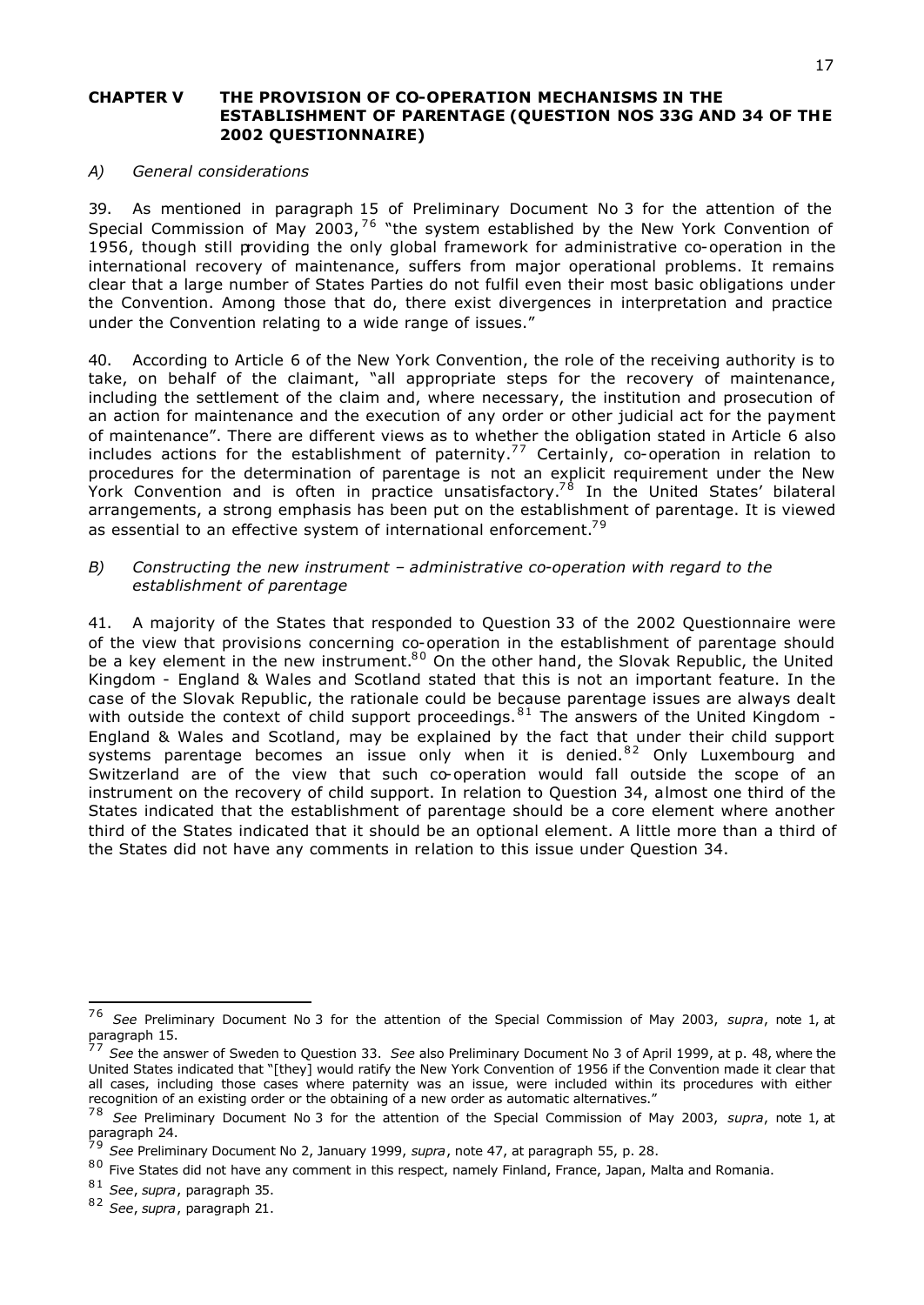## **CHAPTER V THE PROVISION OF CO-OPERATION MECHANISMS IN THE ESTABLISHMENT OF PARENTAGE (QUESTION NOS 33G AND 34 OF THE 2002 QUESTIONNAIRE)**

### *A) General considerations*

39. As mentioned in paragraph 15 of Preliminary Document No 3 for the attention of the Special Commission of May 2003,  $76$  "the system established by the New York Convention of 1956, though still providing the only global framework for administrative co-operation in the international recovery of maintenance, suffers from major operational problems. It remains clear that a large number of States Parties do not fulfil even their most basic obligations under the Convention. Among those that do, there exist divergences in interpretation and practice under the Convention relating to a wide range of issues."

40. According to Article 6 of the New York Convention, the role of the receiving authority is to take, on behalf of the claimant, "all appropriate steps for the recovery of maintenance, including the settlement of the claim and, where necessary, the institution and prosecution of an action for maintenance and the execution of any order or other judicial act for the payment of maintenance". There are different views as to whether the obligation stated in Article 6 also includes actions for the establishment of paternity.<sup>77</sup> Certainly, co-operation in relation to procedures for the determination of parentage is not an explicit requirement under the New York Convention and is often in practice unsatisfactory.<sup>78</sup> In the United States' bilateral arrangements, a strong emphasis has been put on the establishment of parentage. It is viewed as essential to an effective system of international enforcement.<sup>79</sup>

## *B) Constructing the new instrument – administrative co-operation with regard to the establishment of parentage*

41. A majority of the States that responded to Question 33 of the 2002 Questionnaire were of the view that provisions concerning co-operation in the establishment of parentage should be a key element in the new instrument.<sup>80</sup> On the other hand, the Slovak Republic, the United Kingdom - England & Wales and Scotland stated that this is not an important feature. In the case of the Slovak Republic, the rationale could be because parentage issues are always dealt with outside the context of child support proceedings.  $81$  The answers of the United Kingdom -England & Wales and Scotland, may be explained by the fact that under their child support systems parentage becomes an issue only when it is denied.<sup>82</sup> Only Luxembourg and Switzerland are of the view that such co-operation would fall outside the scope of an instrument on the recovery of child support. In relation to Question 34, almost one third of the States indicated that the establishment of parentage should be a core element where another third of the States indicated that it should be an optional element. A little more than a third of the States did not have any comments in relation to this issue under Question 34.

<sup>76</sup> 7 6 *See* Preliminary Document No 3 for the attention of the Special Commission of May 2003, *supra*, note 1, at paragraph 15.

<sup>7 7</sup> *See* the answer of Sweden to Question 33. *See* also Preliminary Document No 3 of April 1999, at p. 48, where the United States indicated that "[they] would ratify the New York Convention of 1956 if the Convention made it clear that all cases, including those cases where paternity was an issue, were included within its procedures with either recognition of an existing order or the obtaining of a new order as automatic alternatives."

<sup>7 8</sup> *See* Preliminary Document No 3 for the attention of the Special Commission of May 2003, *supra*, note 1, at paragraph 24.

<sup>7 9</sup> *See* Preliminary Document No 2, January 1999, *supra*, note 47, at paragraph 55, p. 28.

 $80$  Five States did not have any comment in this respect, namely Finland, France, Japan, Malta and Romania.

<sup>8 1</sup> *See*, *supra*, paragraph 35.

<sup>8 2</sup> *See*, *supra*, paragraph 21.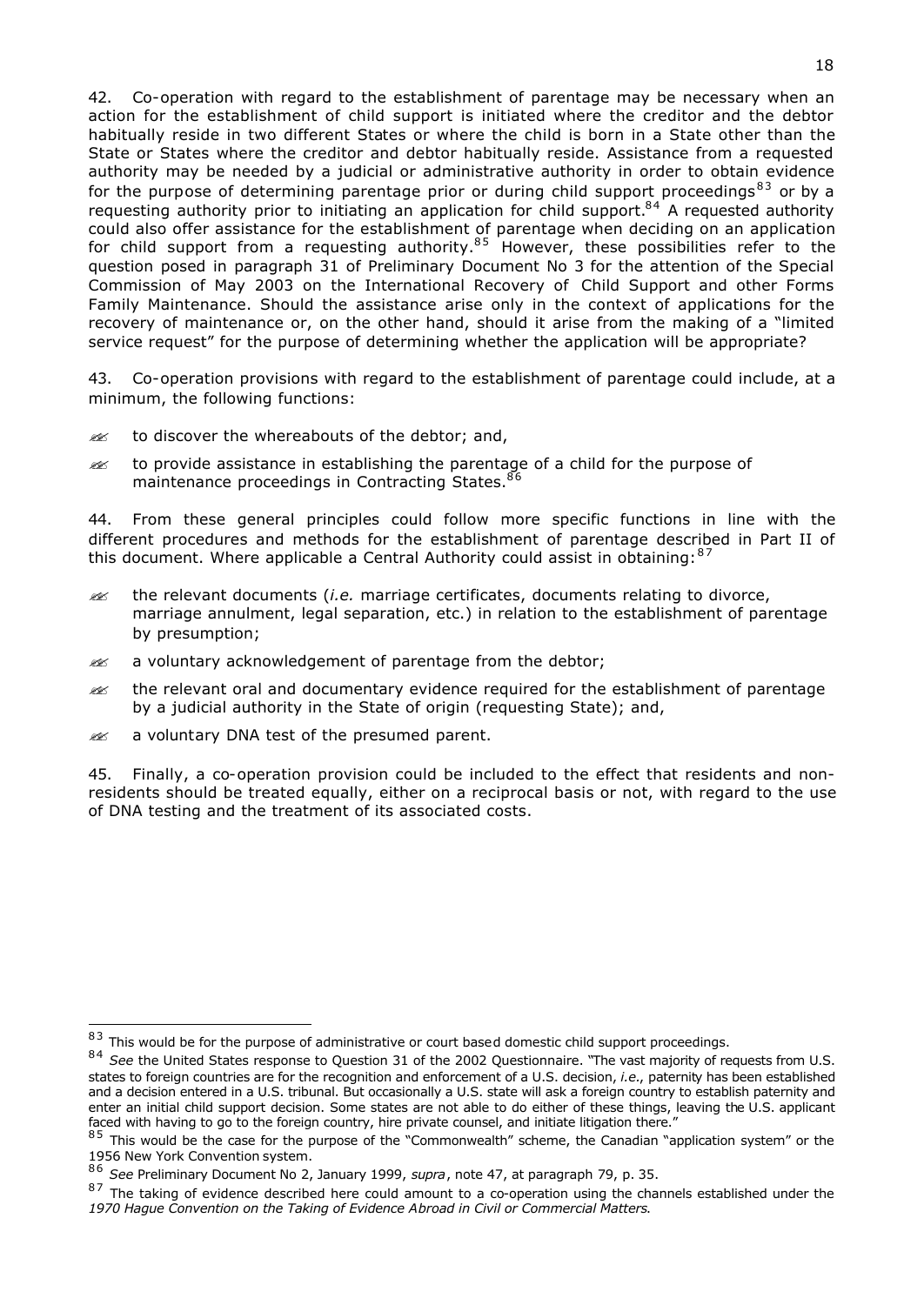42. Co-operation with regard to the establishment of parentage may be necessary when an action for the establishment of child support is initiated where the creditor and the debtor habitually reside in two different States or where the child is born in a State other than the State or States where the creditor and debtor habitually reside. Assistance from a requested authority may be needed by a judicial or administrative authority in order to obtain evidence for the purpose of determining parentage prior or during child support proceedings<sup>83</sup> or by a requesting authority prior to initiating an application for child support.<sup>84</sup> A requested authority could also offer assistance for the establishment of parentage when deciding on an application for child support from a requesting authority.<sup>85</sup> However, these possibilities refer to the question posed in paragraph 31 of Preliminary Document No 3 for the attention of the Special Commission of May 2003 on the International Recovery of Child Support and other Forms Family Maintenance. Should the assistance arise only in the context of applications for the recovery of maintenance or, on the other hand, should it arise from the making of a "limited service request" for the purpose of determining whether the application will be appropriate?

43. Co-operation provisions with regard to the establishment of parentage could include, at a minimum, the following functions:

- to discover the whereabouts of the debtor; and,
- $\gg$  to provide assistance in establishing the parentage of a child for the purpose of maintenance proceedings in Contracting States.<sup>86</sup>

44. From these general principles could follow more specific functions in line with the different procedures and methods for the establishment of parentage described in Part II of this document. Where applicable a Central Authority could assist in obtaining:  $87$ 

- ?? the relevant documents (*i.e.* marriage certificates, documents relating to divorce, marriage annulment, legal separation, etc.) in relation to the establishment of parentage by presumption;
- **EX** a voluntary acknowledgement of parentage from the debtor;
- $\gg$  the relevant oral and documentary evidence required for the establishment of parentage by a judicial authority in the State of origin (requesting State); and,
- $\mathbb{R}$  a voluntary DNA test of the presumed parent.

i,

45. Finally, a co-operation provision could be included to the effect that residents and nonresidents should be treated equally, either on a reciprocal basis or not, with regard to the use of DNA testing and the treatment of its associated costs.

 $83$  This would be for the purpose of administrative or court based domestic child support proceedings.

<sup>84</sup> See the United States response to Question 31 of the 2002 Questionnaire. "The vast majority of requests from U.S. states to foreign countries are for the recognition and enforcement of a U.S. decision, *i.e.*, paternity has been established and a decision entered in a U.S. tribunal. But occasionally a U.S. state will ask a foreign country to establish paternity and enter an initial child support decision. Some states are not able to do either of these things, leaving the U.S. applicant faced with having to go to the foreign country, hire private counsel, and initiate litigation there."

 $85$  This would be the case for the purpose of the "Commonwealth" scheme, the Canadian "application system" or the 1956 New York Convention system.

<sup>8 6</sup> *See* Preliminary Document No 2, January 1999, *supra*, note 47, at paragraph 79, p. 35.

 $87$  The taking of evidence described here could amount to a co-operation using the channels established under the *1970 Hague Convention on the Taking of Evidence Abroad in Civil or Commercial Matters*.